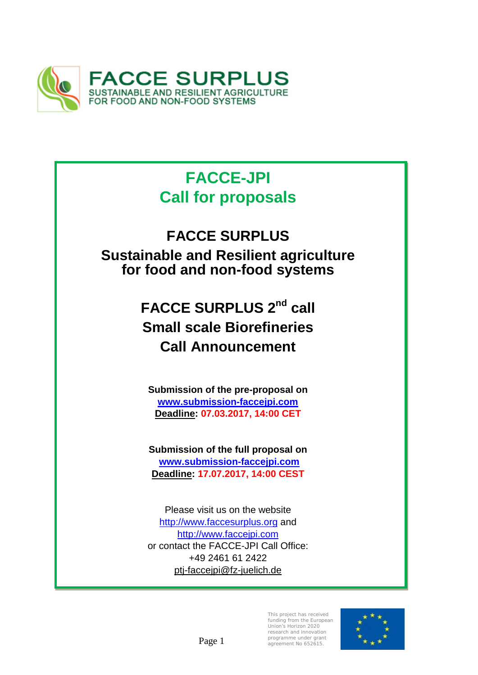

# **FACCE-JPI Call for proposals**

# **FACCE SURPLUS Sustainable and Resilient agriculture for food and non-food systems**

**FACCE SURPLUS 2nd call Small scale Biorefineries Call Announcement**

**Submission of the pre-proposal on [www.submission-faccejpi.com](http://www.submission-faccejpi.com/) Deadline: 07.03.2017, 14:00 CET**

**Submission of the full proposal on [www.submission-faccejpi.com](http://www.submission-faccejpi.com/) Deadline: 17.07.2017, 14:00 CEST**

Please visit us on the website [http://www.faccesurplus.org](http://www.faccesurplus.org/) and [http://www.faccejpi.com](http://www.faccejpi.com/) or contact the FACCE-JPI Call Office: +49 2461 61 2422 [ptj-faccejpi@fz-juelich.de](mailto:ptj-faccejpi@fz-juelich.de)

> This project has received funding from the European Union's Horizon 2020 research and innovation<br>programme under grant **Page 1** agreement No 652615.

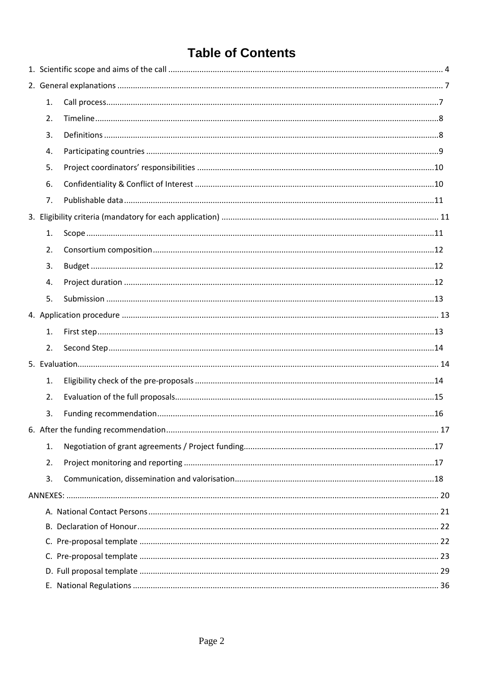# **Table of Contents**

| 1. |  |
|----|--|
| 2. |  |
| 3. |  |
| 4. |  |
| 5. |  |
| 6. |  |
| 7. |  |
|    |  |
| 1. |  |
| 2. |  |
| 3. |  |
| 4. |  |
| 5. |  |
|    |  |
| 1. |  |
| 2. |  |
|    |  |
| 1. |  |
| 2. |  |
| 3. |  |
|    |  |
| 1. |  |
| 2. |  |
| 3. |  |
|    |  |
|    |  |
|    |  |
|    |  |
|    |  |
|    |  |
|    |  |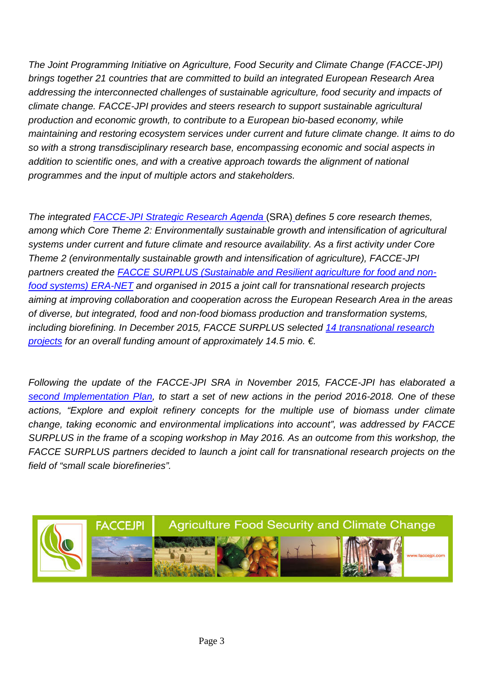*The Joint Programming Initiative on Agriculture, Food Security and Climate Change (FACCE-JPI) brings together 21 countries that are committed to build an integrated European Research Area addressing the interconnected challenges of sustainable agriculture, food security and impacts of climate change. FACCE-JPI provides and steers research to support sustainable agricultural production and economic growth, to contribute to a European bio-based economy, while maintaining and restoring ecosystem services under current and future climate change. It aims to do so with a strong transdisciplinary research base, encompassing economic and social aspects in addition to scientific ones, and with a creative approach towards the alignment of national programmes and the input of multiple actors and stakeholders.*

*The integrated [FACCE-JPI Strategic Research Agenda](http://www.faccejpi.com/Strategic-Research-Agenda)* (SRA) *defines 5 core research themes, among which Core Theme 2: Environmentally sustainable growth and intensification of agricultural systems under current and future climate and resource availability. As a first activity under Core Theme 2 (environmentally sustainable growth and intensification of agriculture), FACCE-JPI partners created the [FACCE SURPLUS \(Sustainable and Resilient agriculture for food and non](http://faccesurplus.org/)[food systems\) ERA-NET](http://faccesurplus.org/) and organised in 2015 a joint call for transnational research projects aiming at improving collaboration and cooperation across the European Research Area in the areas of diverse, but integrated, food and non-food biomass production and transformation systems, including biorefining. In December 2015, FACCE SURPLUS selected [14 transnational research](http://faccesurplus.org/research-projects/)  [projects](http://faccesurplus.org/research-projects/) for an overall funding amount of approximately 14.5 mio. €.*

*Following the update of the FACCE-JPI SRA in November 2015, FACCE-JPI has elaborated a [second Implementation Plan,](http://www.faccejpi.com/Strategic-Research-Agenda/FACCE-JPI-Implementation-Plan) to start a set of new actions in the period 2016-2018. One of these actions, "Explore and exploit refinery concepts for the multiple use of biomass under climate change, taking economic and environmental implications into account", was addressed by FACCE SURPLUS in the frame of a scoping workshop in May 2016. As an outcome from this workshop, the FACCE SURPLUS partners decided to launch a joint call for transnational research projects on the field of "small scale biorefineries".*

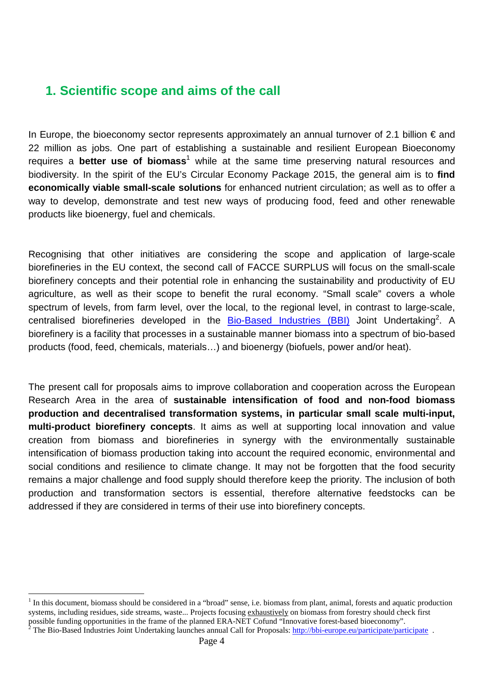### <span id="page-3-1"></span><span id="page-3-0"></span>**1. Scientific scope and aims of the call**

In Europe, the bioeconomy sector represents approximately an annual turnover of 2.1 billion  $\epsilon$  and 22 million as jobs. One part of establishing a sustainable and resilient European Bioeconomy requires a **better use of biomass**<sup>1</sup> while at the same time preserving natural resources and biodiversity. In the spirit of the EU's Circular Economy Package 2015, the general aim is to **find economically viable small-scale solutions** for enhanced nutrient circulation; as well as to offer a way to develop, demonstrate and test new ways of producing food, feed and other renewable products like bioenergy, fuel and chemicals.

Recognising that other initiatives are considering the scope and application of large-scale biorefineries in the EU context, the second call of FACCE SURPLUS will focus on the small-scale biorefinery concepts and their potential role in enhancing the sustainability and productivity of EU agriculture, as well as their scope to benefit the rural economy. "Small scale" covers a whole spectrum of levels, from farm level, over the local, to the regional level, in contrast to large-scale, centralised biorefineries developed in the **[Bio-Based Industries](http://bbi-europe.eu/) (BBI)** Joint Undertaking<sup>2</sup>. A biorefinery is a facility that processes in a sustainable manner biomass into a spectrum of bio-based products (food, feed, chemicals, materials…) and bioenergy (biofuels, power and/or heat).

The present call for proposals aims to improve collaboration and cooperation across the European Research Area in the area of **sustainable intensification of food and non-food biomass production and decentralised transformation systems, in particular small scale multi-input, multi-product biorefinery concepts**. It aims as well at supporting local innovation and value creation from biomass and biorefineries in synergy with the environmentally sustainable intensification of biomass production taking into account the required economic, environmental and social conditions and resilience to climate change. It may not be forgotten that the food security remains a major challenge and food supply should therefore keep the priority. The inclusion of both production and transformation sectors is essential, therefore alternative feedstocks can be addressed if they are considered in terms of their use into biorefinery concepts.

 $\overline{a}$ 

 $1$  In this document, biomass should be considered in a "broad" sense, i.e. biomass from plant, animal, forests and aquatic production systems, including residues, side streams, waste... Projects focusing exhaustively on biomass from forestry should check first possible funding opportunities in the frame of the planned ERA-NET Cofund "Innovative forest-based bioeconomy".<br><sup>2</sup> The Bio-Based Industries Joint Undertaking launches annual Call for Proposals: http://bbi-europe.eu/partic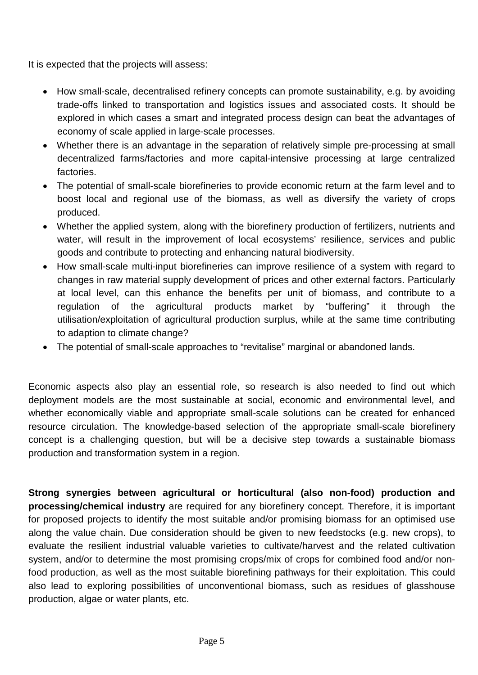It is expected that the projects will assess:

- How small-scale, decentralised refinery concepts can promote sustainability, e.g. by avoiding trade-offs linked to transportation and logistics issues and associated costs. It should be explored in which cases a smart and integrated process design can beat the advantages of economy of scale applied in large-scale processes.
- Whether there is an advantage in the separation of relatively simple pre-processing at small decentralized farms/factories and more capital-intensive processing at large centralized factories.
- The potential of small-scale biorefineries to provide economic return at the farm level and to boost local and regional use of the biomass, as well as diversify the variety of crops produced.
- Whether the applied system, along with the biorefinery production of fertilizers, nutrients and water, will result in the improvement of local ecosystems' resilience, services and public goods and contribute to protecting and enhancing natural biodiversity.
- How small-scale multi-input biorefineries can improve resilience of a system with regard to changes in raw material supply development of prices and other external factors. Particularly at local level, can this enhance the benefits per unit of biomass, and contribute to a regulation of the agricultural products market by "buffering" it through the utilisation/exploitation of agricultural production surplus, while at the same time contributing to adaption to climate change?
- The potential of small-scale approaches to "revitalise" marginal or abandoned lands.

Economic aspects also play an essential role, so research is also needed to find out which deployment models are the most sustainable at social, economic and environmental level, and whether economically viable and appropriate small-scale solutions can be created for enhanced resource circulation. The knowledge-based selection of the appropriate small-scale biorefinery concept is a challenging question, but will be a decisive step towards a sustainable biomass production and transformation system in a region.

**Strong synergies between agricultural or horticultural (also non-food) production and processing/chemical industry** are required for any biorefinery concept. Therefore, it is important for proposed projects to identify the most suitable and/or promising biomass for an optimised use along the value chain. Due consideration should be given to new feedstocks (e.g. new crops), to evaluate the resilient industrial valuable varieties to cultivate/harvest and the related cultivation system, and/or to determine the most promising crops/mix of crops for combined food and/or nonfood production, as well as the most suitable biorefining pathways for their exploitation. This could also lead to exploring possibilities of unconventional biomass, such as residues of glasshouse production, algae or water plants, etc.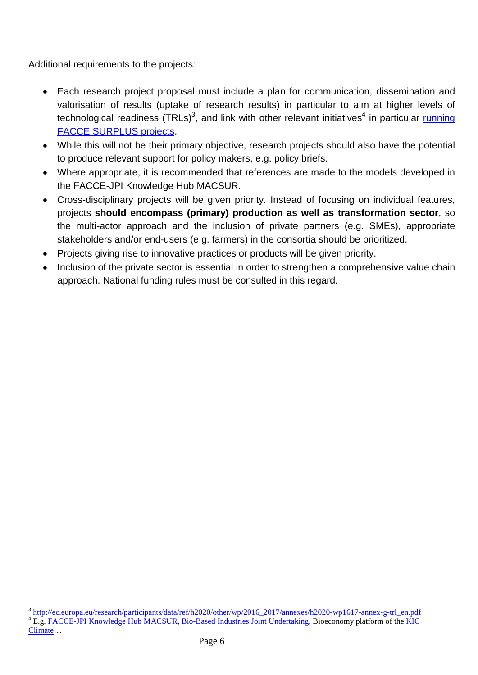Additional requirements to the projects:

- Each research project proposal must include a plan for communication, dissemination and valorisation of results (uptake of research results) in particular to aim at higher levels of technological readiness (TRLs)<sup>3</sup>, and link with other relevant initiatives<sup>4</sup> in particular *running* [FACCE SURPLUS projects.](http://faccesurplus.org/research-projects/)
- While this will not be their primary objective, research projects should also have the potential to produce relevant support for policy makers, e.g. policy briefs.
- Where appropriate, it is recommended that references are made to the models developed in the FACCE-JPI Knowledge Hub MACSUR.
- Cross-disciplinary projects will be given priority. Instead of focusing on individual features, projects **should encompass (primary) production as well as transformation sector**, so the multi-actor approach and the inclusion of private partners (e.g. SMEs), appropriate stakeholders and/or end-users (e.g. farmers) in the consortia should be prioritized.
- Projects giving rise to innovative practices or products will be given priority.
- Inclusion of the private sector is essential in order to strengthen a comprehensive value chain approach. National funding rules must be consulted in this regard.

<sup>&</sup>lt;sup>4</sup> E.g. [FACCE-JPI Knowledge Hub MACSUR,](http://www.macsur.eu/) [Bio-Based Industries](http://www.bbi-europe.eu/) Joint Undertaking, Bioeconomy platform of the KIC [Climate…](http://www.climate-kic.org/) <sup>3</sup> http://ec.europa.eu/research/participants/data/ref/h2020/other/wp/2016\_2017/annexes/h2020-wp1617-annex-g-trl\_en.pdf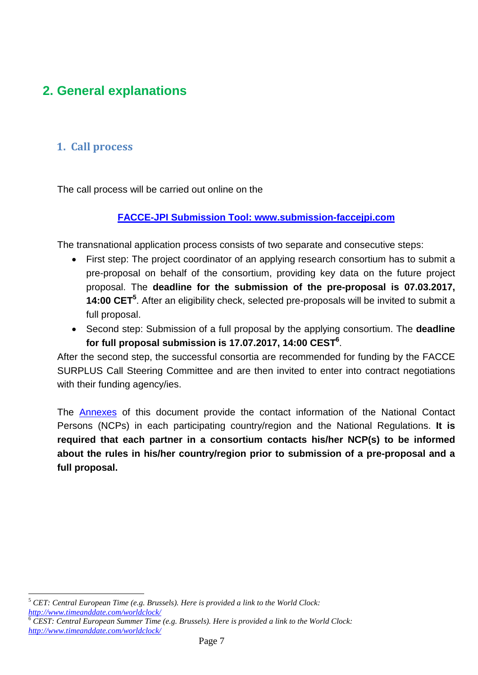# <span id="page-6-0"></span>**2. General explanations**

### <span id="page-6-1"></span>**1. Call process**

The call process will be carried out online on the

#### **[FACCE-JPI Submission Tool:](http://www.submission-faccejpi.com/) www.submission-faccejpi.com**

The transnational application process consists of two separate and consecutive steps:

- First step: The project coordinator of an applying research consortium has to submit a pre-proposal on behalf of the consortium, providing key data on the future project proposal. The **deadline for the submission of the pre-proposal is 07.03.2017, 14:00 CET<sup>5</sup>**. After an eligibility check, selected pre-proposals will be invited to submit a full proposal.
- Second step: Submission of a full proposal by the applying consortium. The **deadline for full proposal submission is 17.07.2017, 14:00 CEST6** .

After the second step, the successful consortia are recommended for funding by the FACCE SURPLUS Call Steering Committee and are then invited to enter into contract negotiations with their funding agency/ies.

The [Annexes](#page-20-1) of this document provide the contact information of the National Contact Persons (NCPs) in each participating country/region and the National Regulations. **It is required that each partner in a consortium contacts his/her NCP(s) to be informed about the rules in his/her country/region prior to submission of a pre-proposal and a full proposal.**

<sup>5</sup> *CET: Central European Time (e.g. Brussels). Here is provided a link to the World Clock: <http://www.timeanddate.com/worldclock/>* <sup>6</sup> *CEST: Central European Summer Time (e.g. Brussels). Here is provided a link to the World Clock:*   $\overline{a}$ 

*<http://www.timeanddate.com/worldclock/>*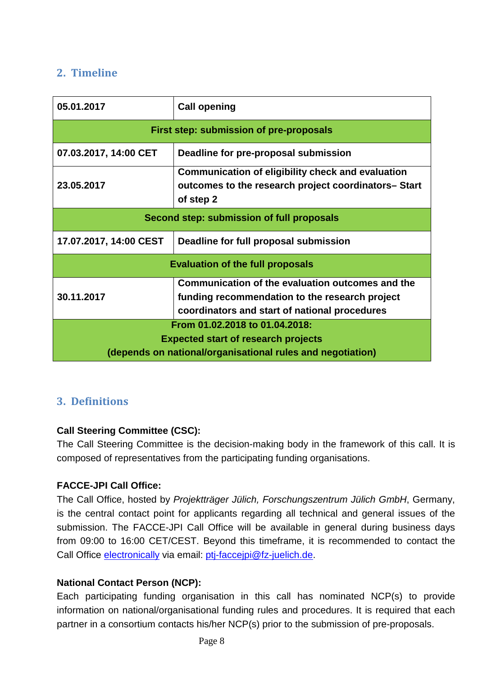### <span id="page-7-0"></span>**2. Timeline**

| 05.01.2017<br><b>Call opening</b>                                                                                                          |                                                                                                                                                     |  |  |  |
|--------------------------------------------------------------------------------------------------------------------------------------------|-----------------------------------------------------------------------------------------------------------------------------------------------------|--|--|--|
|                                                                                                                                            | First step: submission of pre-proposals                                                                                                             |  |  |  |
| 07.03.2017, 14:00 CET                                                                                                                      | Deadline for pre-proposal submission                                                                                                                |  |  |  |
| 23.05.2017                                                                                                                                 | Communication of eligibility check and evaluation<br>outcomes to the research project coordinators– Start<br>of step 2                              |  |  |  |
|                                                                                                                                            | Second step: submission of full proposals                                                                                                           |  |  |  |
| 17.07.2017, 14:00 CEST                                                                                                                     | Deadline for full proposal submission                                                                                                               |  |  |  |
|                                                                                                                                            | <b>Evaluation of the full proposals</b>                                                                                                             |  |  |  |
| 30.11.2017                                                                                                                                 | Communication of the evaluation outcomes and the<br>funding recommendation to the research project<br>coordinators and start of national procedures |  |  |  |
| From 01.02.2018 to 01.04.2018:<br><b>Expected start of research projects</b><br>(depends on national/organisational rules and negotiation) |                                                                                                                                                     |  |  |  |

### <span id="page-7-1"></span>**3. Definitions**

#### **Call Steering Committee (CSC):**

The Call Steering Committee is the decision-making body in the framework of this call. It is composed of representatives from the participating funding organisations.

#### **FACCE-JPI Call Office:**

The Call Office, hosted by *Projektträger Jülich, Forschungszentrum Jülich GmbH*, Germany, is the central contact point for applicants regarding all technical and general issues of the submission. The FACCE-JPI Call Office will be available in general during business days from 09:00 to 16:00 CET/CEST. Beyond this timeframe, it is recommended to contact the Call Office [electronically](mailto:ptj-faccejpi@fz-juelich.de) via email: [ptj-faccejpi@fz-juelich.de.](mailto:ptj-faccejpi@fz-juelich.de)

#### **National Contact Person (NCP):**

Each participating funding organisation in this call has nominated NCP(s) to provide information on national/organisational funding rules and procedures. It is required that each partner in a consortium contacts his/her NCP(s) prior to the submission of pre-proposals.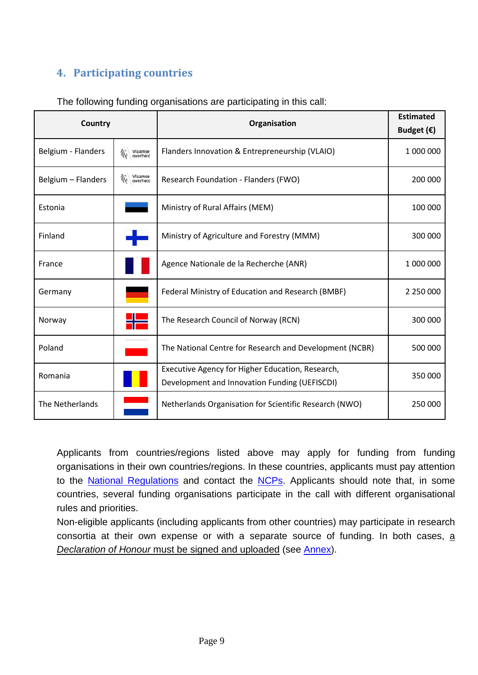### <span id="page-8-1"></span><span id="page-8-0"></span>**4. Participating countries**

| Country            |                           | Organisation                                                                                      | <b>Estimated</b><br>Budget $(\epsilon)$ |
|--------------------|---------------------------|---------------------------------------------------------------------------------------------------|-----------------------------------------|
| Belgium - Flanders | Vlaamse<br>overheid<br>ゐ  | Flanders Innovation & Entrepreneurship (VLAIO)                                                    | 1 000 000                               |
| Belgium - Flanders | Vlaamse<br>overheid<br>Ñ. | Research Foundation - Flanders (FWO)                                                              | 200 000                                 |
| Estonia            |                           | Ministry of Rural Affairs (MEM)                                                                   | 100 000                                 |
| Finland            |                           | Ministry of Agriculture and Forestry (MMM)                                                        | 300 000                                 |
| France             |                           | Agence Nationale de la Recherche (ANR)                                                            | 1 000 000                               |
| Germany            |                           | Federal Ministry of Education and Research (BMBF)                                                 | 2 250 000                               |
| Norway             |                           | The Research Council of Norway (RCN)                                                              | 300 000                                 |
| Poland             |                           | The National Centre for Research and Development (NCBR)                                           | 500 000                                 |
| Romania            |                           | Executive Agency for Higher Education, Research,<br>Development and Innovation Funding (UEFISCDI) | 350 000                                 |
| The Netherlands    |                           | Netherlands Organisation for Scientific Research (NWO)                                            | 250 000                                 |

The following funding organisations are participating in this call:

Applicants from countries/regions listed above may apply for funding from funding organisations in their own countries/regions. In these countries, applicants must pay attention to the [National Regulations](#page-35-0) and contact the [NCPs.](#page-20-1) Applicants should note that, in some countries, several funding organisations participate in the call with different organisational rules and priorities.

Non-eligible applicants (including applicants from other countries) may participate in research consortia at their own expense or with a separate source of funding. In both cases, a *Declaration of Honour* must be signed and uploaded (see [Annex\)](#page-21-0).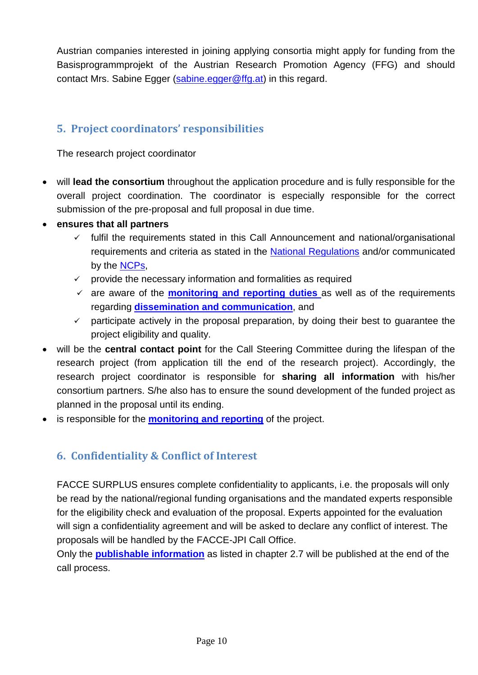Austrian companies interested in joining applying consortia might apply for funding from the Basisprogrammprojekt of the Austrian Research Promotion Agency (FFG) and should contact Mrs. Sabine Egger [\(sabine.egger@ffg.at\)](mailto:sabine.egger@ffg.at) in this regard.

### <span id="page-9-0"></span>**5. Project coordinators' responsibilities**

The research project coordinator

- will **lead the consortium** throughout the application procedure and is fully responsible for the overall project coordination. The coordinator is especially responsible for the correct submission of the pre-proposal and full proposal in due time.
- **ensures that all partners** 
	- $\checkmark$  fulfil the requirements stated in this Call Announcement and national/organisational requirements and criteria as stated in the [National Regulations](#page-35-0) and/or communicated by the [NCPs,](#page-20-1)
	- $\checkmark$  provide the necessary information and formalities as required
	- $\checkmark$  are aware of the **[monitoring and reporting](#page-16-2) duties** as well as of the requirements regarding **[dissemination and communication](#page-17-0)**, and
	- $\checkmark$  participate actively in the proposal preparation, by doing their best to quarantee the project eligibility and quality.
- will be the **central contact point** for the Call Steering Committee during the lifespan of the research project (from application till the end of the research project). Accordingly, the research project coordinator is responsible for **sharing all information** with his/her consortium partners. S/he also has to ensure the sound development of the funded project as planned in the proposal until its ending.
- is responsible for the **[monitoring and reporting](#page-16-2)** of the project.

### <span id="page-9-1"></span>**6. Confidentiality & Conflict of Interest**

FACCE SURPLUS ensures complete confidentiality to applicants, i.e. the proposals will only be read by the national/regional funding organisations and the mandated experts responsible for the eligibility check and evaluation of the proposal. Experts appointed for the evaluation will sign a confidentiality agreement and will be asked to declare any conflict of interest. The proposals will be handled by the FACCE-JPI Call Office.

Only the **[publishable information](#page-10-0)** as listed in chapter 2.7 will be published at the end of the call process.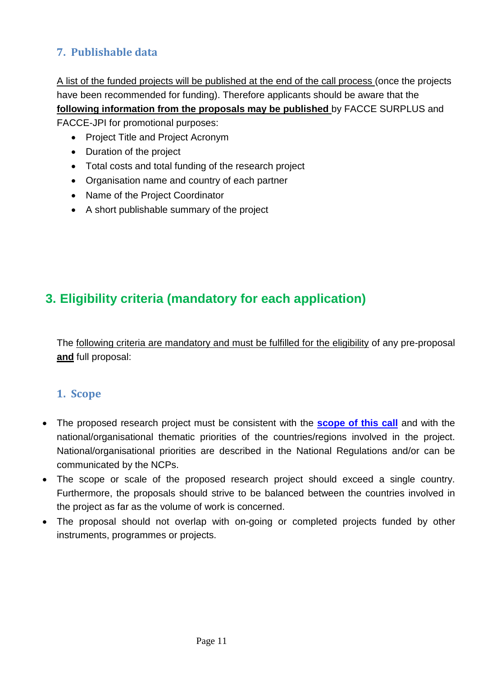### <span id="page-10-0"></span>**7. Publishable data**

A list of the funded projects will be published at the end of the call process (once the projects have been recommended for funding). Therefore applicants should be aware that the **following information from the proposals may be published** by FACCE SURPLUS and FACCE-JPI for promotional purposes:

- Project Title and Project Acronym
- Duration of the project
- Total costs and total funding of the research project
- Organisation name and country of each partner
- Name of the Project Coordinator
- A short publishable summary of the project

# <span id="page-10-1"></span>**3. Eligibility criteria (mandatory for each application)**

The following criteria are mandatory and must be fulfilled for the eligibility of any pre-proposal **and** full proposal:

### <span id="page-10-2"></span>**1. Scope**

- The proposed research project must be consistent with the **[scope of this call](#page-3-1)** and with the national/organisational thematic priorities of the countries/regions involved in the project. National/organisational priorities are described in the National Regulations and/or can be communicated by the NCPs.
- The scope or scale of the proposed research project should exceed a single country. Furthermore, the proposals should strive to be balanced between the countries involved in the project as far as the volume of work is concerned.
- The proposal should not overlap with on-going or completed projects funded by other instruments, programmes or projects.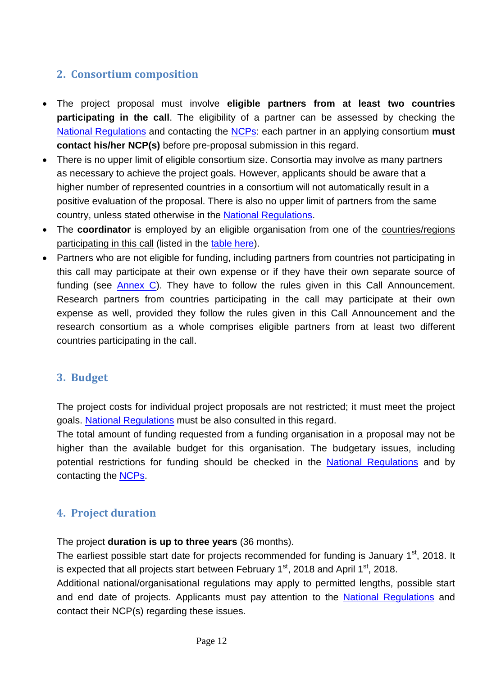### <span id="page-11-0"></span>**2. Consortium composition**

- The project proposal must involve **eligible partners from at least two countries participating in the call**. The eligibility of a partner can be assessed by checking the [National Regulations](#page-35-0) and contacting the [NCPs:](#page-20-1) each partner in an applying consortium **must contact his/her NCP(s)** before pre-proposal submission in this regard.
- There is no upper limit of eligible consortium size. Consortia may involve as many partners as necessary to achieve the project goals. However, applicants should be aware that a higher number of represented countries in a consortium will not automatically result in a positive evaluation of the proposal. There is also no upper limit of partners from the same country, unless stated otherwise in the [National Regulations.](#page-35-0)
- The **coordinator** is employed by an eligible organisation from one of the countries/regions participating in this call (listed in the [table](#page-8-1) here).
- Partners who are not eligible for funding, including partners from countries not participating in this call may participate at their own expense or if they have their own separate source of funding (see [Annex](#page-21-0) C). They have to follow the rules given in this Call Announcement. Research partners from countries participating in the call may participate at their own expense as well, provided they follow the rules given in this Call Announcement and the research consortium as a whole comprises eligible partners from at least two different countries participating in the call.

### <span id="page-11-1"></span>**3. Budget**

The project costs for individual project proposals are not restricted; it must meet the project goals. [National Regulations](#page-35-0) must be also consulted in this regard.

The total amount of funding requested from a funding organisation in a proposal may not be higher than the available budget for this organisation. The budgetary issues, including potential restrictions for funding should be checked in the [National Regulations](#page-35-0) and by contacting the [NCPs.](#page-20-1)

### <span id="page-11-2"></span>**4. Project duration**

The project **duration is up to three years** (36 months).

The earliest possible start date for projects recommended for funding is January 1<sup>st</sup>, 2018. It is expected that all projects start between February  $1<sup>st</sup>$ , 2018 and April  $1<sup>st</sup>$ , 2018.

Additional national/organisational regulations may apply to permitted lengths, possible start and end date of projects. Applicants must pay attention to the [National Regulations](#page-35-0) and contact their NCP(s) regarding these issues.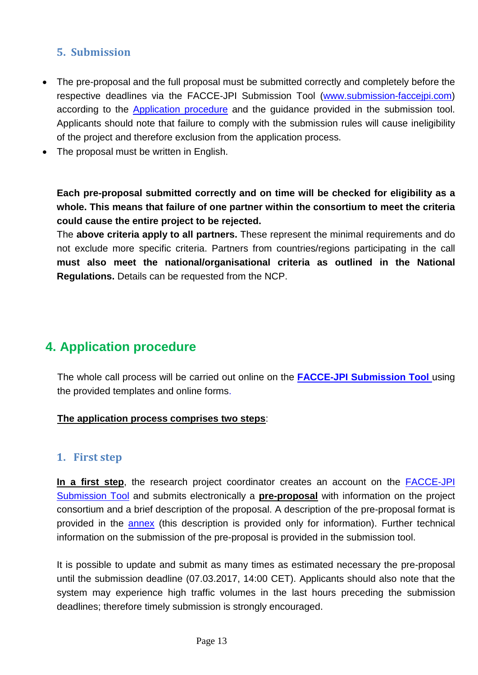### <span id="page-12-0"></span>**5. Submission**

- The pre-proposal and the full proposal must be submitted correctly and completely before the respective deadlines via the FACCE-JPI Submission Tool [\(www.submission-faccejpi.com\)](http://www.submission-faccejpi.com/) according to the [Application procedure](#page-12-1) and the guidance provided in the submission tool. Applicants should note that failure to comply with the submission rules will cause ineligibility of the project and therefore exclusion from the application process.
- The proposal must be written in English.

**Each pre-proposal submitted correctly and on time will be checked for eligibility as a whole. This means that failure of one partner within the consortium to meet the criteria could cause the entire project to be rejected.** 

The **above criteria apply to all partners.** These represent the minimal requirements and do not exclude more specific criteria. Partners from countries/regions participating in the call **must also meet the national/organisational criteria as outlined in the National Regulations.** Details can be requested from the NCP.

# <span id="page-12-1"></span>**4. Application procedure**

The whole call process will be carried out online on the **[FACCE-JPI Submission Tool](http://www.submission-faccejpi.com/)** using the provided templates and online forms.

#### **The application process comprises two steps**:

#### <span id="page-12-2"></span>**1. First step**

**In a first step**, the research project coordinator creates an account on the [FACCE-JPI](http://www.submission-faccejpi.com/)  [Submission Tool](http://www.submission-faccejpi.com/) and submits electronically a **pre-proposal** with information on the project consortium and a brief description of the proposal. A description of the pre-proposal format is provided in the [annex](#page-21-1) (this description is provided only for information). Further technical information on the submission of the pre-proposal is provided in the submission tool.

It is possible to update and submit as many times as estimated necessary the pre-proposal until the submission deadline (07.03.2017, 14:00 CET). Applicants should also note that the system may experience high traffic volumes in the last hours preceding the submission deadlines; therefore timely submission is strongly encouraged.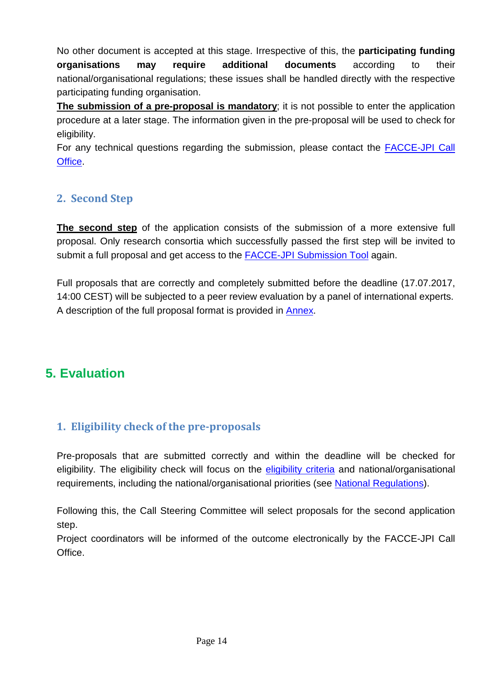No other document is accepted at this stage. Irrespective of this, the **participating funding organisations may require additional documents** according to their national/organisational regulations; these issues shall be handled directly with the respective participating funding organisation.

**The submission of a pre-proposal is mandatory**; it is not possible to enter the application procedure at a later stage. The information given in the pre-proposal will be used to check for eligibility.

For any technical questions regarding the submission, please contact the [FACCE-JPI Call](mailto:ptj-faccejpi@fz-juelich.de)  [Office.](mailto:ptj-faccejpi@fz-juelich.de)

### <span id="page-13-0"></span>**2. Second Step**

**The second step** of the application consists of the submission of a more extensive full proposal. Only research consortia which successfully passed the first step will be invited to submit a full proposal and get access to the [FACCE-JPI Submission Tool](http://www.submission-faccejpi.com/) again.

Full proposals that are correctly and completely submitted before the deadline (17.07.2017, 14:00 CEST) will be subjected to a peer review evaluation by a panel of international experts. A description of the full proposal format is provided in [Annex.](#page-28-0)

# <span id="page-13-1"></span>**5. Evaluation**

### <span id="page-13-2"></span>**1. Eligibility check of the pre-proposals**

Pre-proposals that are submitted correctly and within the deadline will be checked for eligibility. The eligibility check will focus on the [eligibility criteria](#page-10-1) and national/organisational requirements, including the national/organisational priorities (see [National Regulations\)](#page-35-0).

Following this, the Call Steering Committee will select proposals for the second application step.

Project coordinators will be informed of the outcome electronically by the FACCE-JPI Call Office.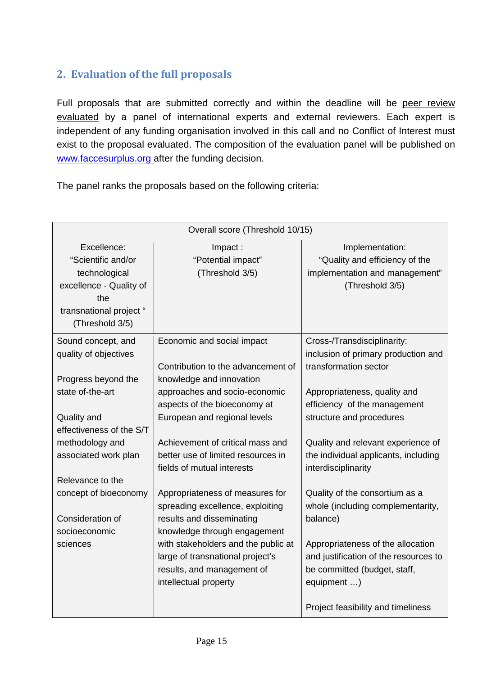### <span id="page-14-0"></span>**2. Evaluation of the full proposals**

Full proposals that are submitted correctly and within the deadline will be peer review evaluated by a panel of international experts and external reviewers. Each expert is independent of any funding organisation involved in this call and no Conflict of Interest must exist to the proposal evaluated. The composition of the evaluation panel will be published on [www.faccesurplus.org](http://www.faccejpi.com/) after the funding decision.

The panel ranks the proposals based on the following criteria:

| Overall score (Threshold 10/15)                                                                                                    |                                                                                                                                |                                                                                                                           |  |  |  |  |  |
|------------------------------------------------------------------------------------------------------------------------------------|--------------------------------------------------------------------------------------------------------------------------------|---------------------------------------------------------------------------------------------------------------------------|--|--|--|--|--|
| Excellence:<br>"Scientific and/or<br>technological<br>excellence - Quality of<br>the<br>transnational project "<br>(Threshold 3/5) | Impact:<br>"Potential impact"<br>(Threshold 3/5)                                                                               | Implementation:<br>"Quality and efficiency of the<br>implementation and management"<br>(Threshold 3/5)                    |  |  |  |  |  |
| Sound concept, and<br>quality of objectives                                                                                        | Economic and social impact<br>Contribution to the advancement of                                                               | Cross-/Transdisciplinarity:<br>inclusion of primary production and<br>transformation sector                               |  |  |  |  |  |
| Progress beyond the<br>state of-the-art                                                                                            | knowledge and innovation<br>approaches and socio-economic<br>aspects of the bioeconomy at                                      | Appropriateness, quality and<br>efficiency of the management                                                              |  |  |  |  |  |
| Quality and<br>effectiveness of the S/T                                                                                            | European and regional levels                                                                                                   | structure and procedures                                                                                                  |  |  |  |  |  |
| methodology and<br>associated work plan                                                                                            | Achievement of critical mass and<br>better use of limited resources in<br>fields of mutual interests                           | Quality and relevant experience of<br>the individual applicants, including<br>interdisciplinarity                         |  |  |  |  |  |
| Relevance to the<br>concept of bioeconomy                                                                                          | Appropriateness of measures for<br>spreading excellence, exploiting                                                            | Quality of the consortium as a<br>whole (including complementarity,                                                       |  |  |  |  |  |
| Consideration of<br>socioeconomic                                                                                                  | results and disseminating<br>knowledge through engagement                                                                      | balance)                                                                                                                  |  |  |  |  |  |
| sciences                                                                                                                           | with stakeholders and the public at<br>large of transnational project's<br>results, and management of<br>intellectual property | Appropriateness of the allocation<br>and justification of the resources to<br>be committed (budget, staff,<br>equipment ) |  |  |  |  |  |
|                                                                                                                                    |                                                                                                                                | Project feasibility and timeliness                                                                                        |  |  |  |  |  |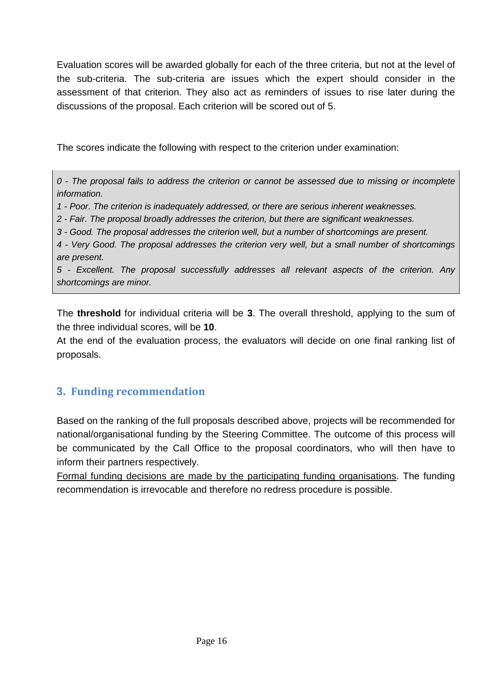Evaluation scores will be awarded globally for each of the three criteria, but not at the level of the sub-criteria. The sub-criteria are issues which the expert should consider in the assessment of that criterion. They also act as reminders of issues to rise later during the discussions of the proposal. Each criterion will be scored out of 5.

The scores indicate the following with respect to the criterion under examination:

*0 - The proposal fails to address the criterion or cannot be assessed due to missing or incomplete information.* 

*1 - Poor. The criterion is inadequately addressed, or there are serious inherent weaknesses.* 

*2 - Fair. The proposal broadly addresses the criterion, but there are significant weaknesses.* 

*3 - Good. The proposal addresses the criterion well, but a number of shortcomings are present.* 

*4 - Very Good. The proposal addresses the criterion very well, but a small number of shortcomings are present.* 

*5 - Excellent. The proposal successfully addresses all relevant aspects of the criterion. Any shortcomings are minor.*

The **threshold** for individual criteria will be **3**. The overall threshold, applying to the sum of the three individual scores, will be **10**.

At the end of the evaluation process, the evaluators will decide on one final ranking list of proposals.

### <span id="page-15-0"></span>**3. Funding recommendation**

Based on the ranking of the full proposals described above, projects will be recommended for national/organisational funding by the Steering Committee. The outcome of this process will be communicated by the Call Office to the proposal coordinators, who will then have to inform their partners respectively.

Formal funding decisions are made by the participating funding organisations. The funding recommendation is irrevocable and therefore no redress procedure is possible.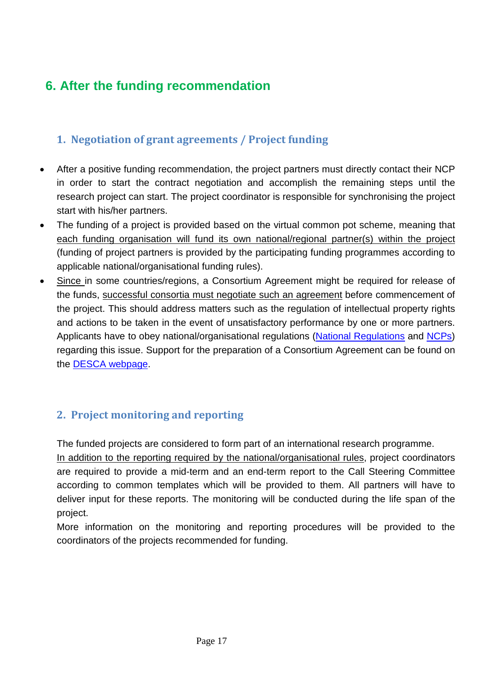# <span id="page-16-0"></span>**6. After the funding recommendation**

### <span id="page-16-1"></span>**1. Negotiation of grant agreements / Project funding**

- After a positive funding recommendation, the project partners must directly contact their NCP in order to start the contract negotiation and accomplish the remaining steps until the research project can start. The project coordinator is responsible for synchronising the project start with his/her partners.
- The funding of a project is provided based on the virtual common pot scheme, meaning that each funding organisation will fund its own national/regional partner(s) within the project (funding of project partners is provided by the participating funding programmes according to applicable national/organisational funding rules).
- Since in some countries/regions, a Consortium Agreement might be required for release of the funds, successful consortia must negotiate such an agreement before commencement of the project. This should address matters such as the regulation of intellectual property rights and actions to be taken in the event of unsatisfactory performance by one or more partners. Applicants have to obey national/organisational regulations [\(National Regulations](#page-35-0) and [NCPs\)](#page-20-1) regarding this issue. Support for the preparation of a Consortium Agreement can be found on the [DESCA webpage.](http://www.desca-2020.eu/)

### <span id="page-16-2"></span>**2. Project monitoring and reporting**

The funded projects are considered to form part of an international research programme.

In addition to the reporting required by the national/organisational rules, project coordinators are required to provide a mid-term and an end-term report to the Call Steering Committee according to common templates which will be provided to them. All partners will have to deliver input for these reports. The monitoring will be conducted during the life span of the project.

More information on the monitoring and reporting procedures will be provided to the coordinators of the projects recommended for funding.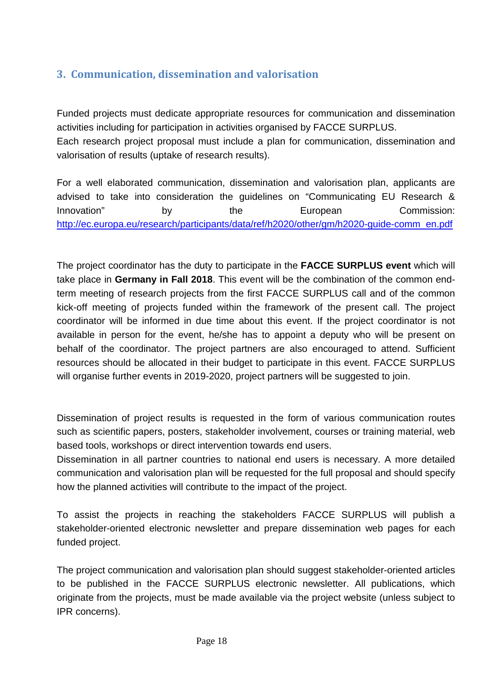### <span id="page-17-0"></span>**3. Communication, dissemination and valorisation**

Funded projects must dedicate appropriate resources for communication and dissemination activities including for participation in activities organised by FACCE SURPLUS. Each research project proposal must include a plan for communication, dissemination and valorisation of results (uptake of research results).

For a well elaborated communication, dissemination and valorisation plan, applicants are advised to take into consideration the guidelines on "Communicating EU Research & Innovation" by the European Commission: [http://ec.europa.eu/research/participants/data/ref/h2020/other/gm/h2020-guide-comm\\_en.pdf](http://ec.europa.eu/research/participants/data/ref/h2020/other/gm/h2020-guide-comm_en.pdf)

The project coordinator has the duty to participate in the **FACCE SURPLUS event** which will take place in **Germany in Fall 2018**. This event will be the combination of the common endterm meeting of research projects from the first FACCE SURPLUS call and of the common kick-off meeting of projects funded within the framework of the present call. The project coordinator will be informed in due time about this event. If the project coordinator is not available in person for the event, he/she has to appoint a deputy who will be present on behalf of the coordinator. The project partners are also encouraged to attend. Sufficient resources should be allocated in their budget to participate in this event. FACCE SURPLUS will organise further events in 2019-2020, project partners will be suggested to join.

Dissemination of project results is requested in the form of various communication routes such as scientific papers, posters, stakeholder involvement, courses or training material, web based tools, workshops or direct intervention towards end users.

Dissemination in all partner countries to national end users is necessary. A more detailed communication and valorisation plan will be requested for the full proposal and should specify how the planned activities will contribute to the impact of the project.

To assist the projects in reaching the stakeholders FACCE SURPLUS will publish a stakeholder-oriented electronic newsletter and prepare dissemination web pages for each funded project.

The project communication and valorisation plan should suggest stakeholder-oriented articles to be published in the FACCE SURPLUS electronic newsletter. All publications, which originate from the projects, must be made available via the project website (unless subject to IPR concerns).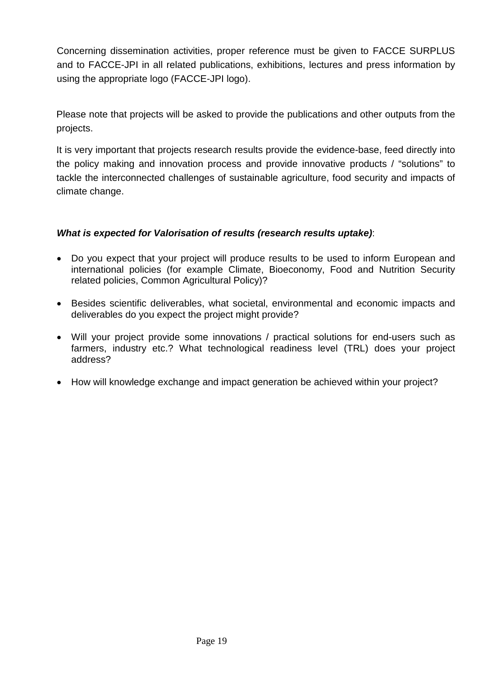Concerning dissemination activities, proper reference must be given to FACCE SURPLUS and to FACCE-JPI in all related publications, exhibitions, lectures and press information by using the appropriate logo (FACCE-JPI logo).

Please note that projects will be asked to provide the publications and other outputs from the projects.

It is very important that projects research results provide the evidence-base, feed directly into the policy making and innovation process and provide innovative products / "solutions" to tackle the interconnected challenges of sustainable agriculture, food security and impacts of climate change.

#### *What is expected for Valorisation of results (research results uptake)*:

- Do you expect that your project will produce results to be used to inform European and international policies (for example Climate, Bioeconomy, Food and Nutrition Security related policies, Common Agricultural Policy)?
- Besides scientific deliverables, what societal, environmental and economic impacts and deliverables do you expect the project might provide?
- Will your project provide some innovations / practical solutions for end-users such as farmers, industry etc.? What technological readiness level (TRL) does your project address?
- How will knowledge exchange and impact generation be achieved within your project?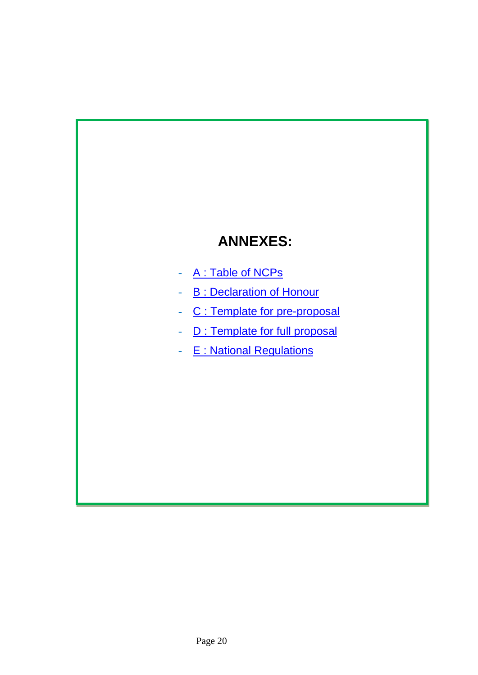# **ANNEXES:**

- A : Table of NCPs
- **B** : Declaration of Honour
- C : Template for pre-proposal
- D : Template for full proposal
- E : National Regulations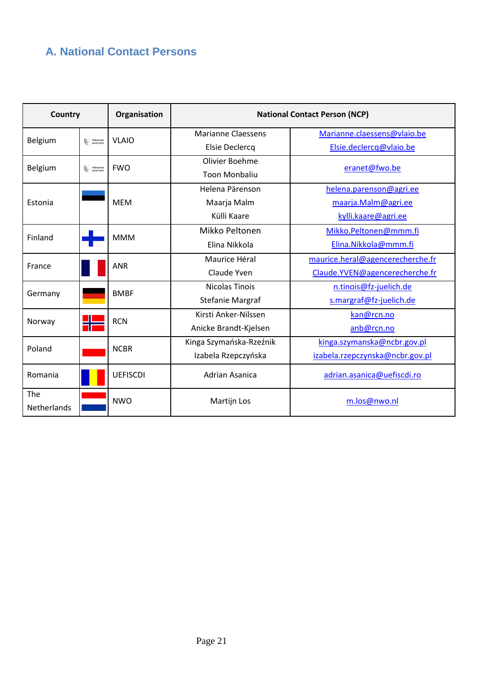# <span id="page-20-1"></span><span id="page-20-0"></span>**A. National Contact Persons**

| Country                          |                      | Organisation    | <b>National Contact Person (NCP)</b> |                                  |  |  |  |
|----------------------------------|----------------------|-----------------|--------------------------------------|----------------------------------|--|--|--|
|                                  |                      | <b>VLAIO</b>    | <b>Marianne Claessens</b>            | Marianne.claessens@vlaio.be      |  |  |  |
| Belgium                          | Vlaamse<br>Queerheid |                 | Elsie Declercq                       | Elsie.declercq@vlaio.be          |  |  |  |
|                                  |                      | <b>FWO</b>      | Olivier Boehme                       |                                  |  |  |  |
| Belgium                          | Vlaamse<br>Queerheid |                 | <b>Toon Monbaliu</b>                 | eranet@fwo.be                    |  |  |  |
|                                  |                      |                 | Helena Pärenson                      | helena.parenson@agri.ee          |  |  |  |
| Estonia                          |                      | <b>MEM</b>      | Maarja Malm                          | maarja.Malm@agri.ee              |  |  |  |
|                                  |                      |                 | Külli Kaare                          | kylli.kaare@agri.ee              |  |  |  |
| Finland                          |                      | <b>MMM</b>      | Mikko Peltonen                       | Mikko.Peltonen@mmm.fi            |  |  |  |
|                                  |                      |                 | Elina Nikkola                        | Elina.Nikkola@mmm.fi             |  |  |  |
| France                           |                      | <b>ANR</b>      | Maurice Héral                        | maurice.heral@agencerecherche.fr |  |  |  |
|                                  |                      |                 | Claude Yven                          | Claude.YVEN@agencerecherche.fr   |  |  |  |
| Germany                          |                      | <b>BMBF</b>     | Nicolas Tinois                       | n.tinois@fz-juelich.de           |  |  |  |
|                                  |                      |                 | <b>Stefanie Margraf</b>              | s.margraf@fz-juelich.de          |  |  |  |
| Norway                           |                      | <b>RCN</b>      | Kirsti Anker-Nilssen                 | kan@rcn.no                       |  |  |  |
|                                  |                      |                 | Anicke Brandt-Kjelsen                | anb@rcn.no                       |  |  |  |
| Poland                           |                      | <b>NCBR</b>     | Kinga Szymańska-Rzeźnik              | kinga.szymanska@ncbr.gov.pl      |  |  |  |
|                                  |                      |                 | Izabela Rzepczyńska                  | izabela.rzepczynska@ncbr.gov.pl  |  |  |  |
| Romania                          |                      | <b>UEFISCDI</b> | Adrian Asanica                       | adrian.asanica@uefiscdi.ro       |  |  |  |
| The<br><b>NWO</b><br>Netherlands |                      | Martijn Los     | m.los@nwo.nl                         |                                  |  |  |  |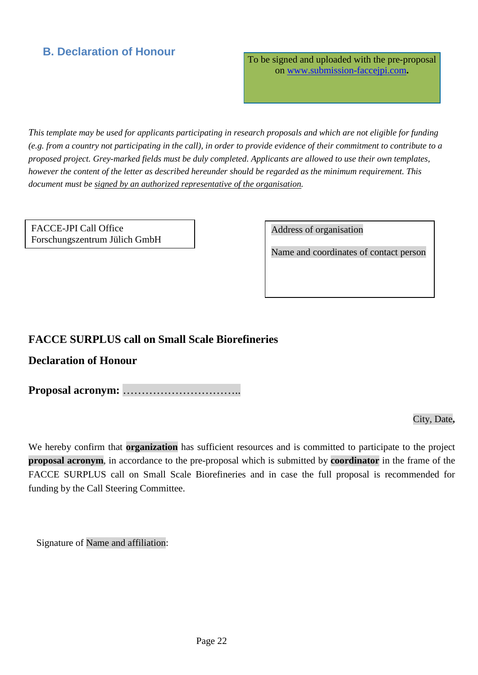### <span id="page-21-0"></span>**B. Declaration of Honour**

To be signed and uploaded with the pre-proposal on [www.submission-faccejpi.com](http://www.submission-faccejpi.com/)**.**

*This template may be used for applicants participating in research proposals and which are not eligible for funding (e.g. from a country not participating in the call), in order to provide evidence of their commitment to contribute to a proposed project. Grey-marked fields must be duly completed. Applicants are allowed to use their own templates, however the content of the letter as described hereunder should be regarded as the minimum requirement. This document must be signed by an authorized representative of the organisation.*

FACCE-JPI Call Office Forschungszentrum Jülich GmbH

Address of organisation

Name and coordinates of contact person

#### **FACCE SURPLUS call on Small Scale Biorefineries**

#### **Declaration of Honour**

**Proposal acronym:** …………………………..

City, Date**,**

We hereby confirm that **organization** has sufficient resources and is committed to participate to the project **proposal acronym**, in accordance to the pre-proposal which is submitted by **coordinator** in the frame of the FACCE SURPLUS call on Small Scale Biorefineries and in case the full proposal is recommended for funding by the Call Steering Committee.

<span id="page-21-1"></span>Signature of Name and affiliation: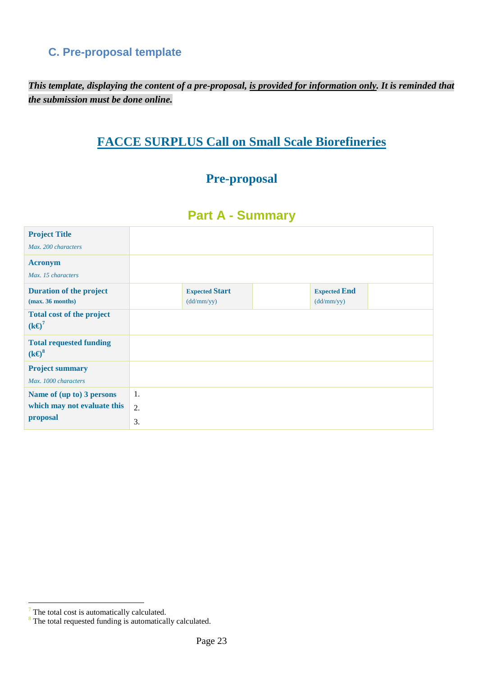# <span id="page-22-0"></span>**C. Pre-proposal template**

*This template, displaying the content of a pre-proposal, is provided for information only. It is reminded that the submission must be done online.*

# **FACCE SURPLUS Call on Small Scale Biorefineries**

### **Pre-proposal**

### **Part A - Summary**

| <b>Project Title</b><br>Max. 200 characters                          |                              |                                     |                                   |  |
|----------------------------------------------------------------------|------------------------------|-------------------------------------|-----------------------------------|--|
| <b>Acronym</b><br>Max. 15 characters                                 |                              |                                     |                                   |  |
| <b>Duration of the project</b><br>(max. 36 months)                   |                              | <b>Expected Start</b><br>(dd/mm/yy) | <b>Expected End</b><br>(dd/mm/yy) |  |
| <b>Total cost of the project</b><br>$(k\Theta^7)$                    |                              |                                     |                                   |  |
| <b>Total requested funding</b><br>$(k\Theta^8)$                      |                              |                                     |                                   |  |
| <b>Project summary</b><br>Max. 1000 characters                       |                              |                                     |                                   |  |
| Name of (up to) 3 persons<br>which may not evaluate this<br>proposal | 1.<br>$\overline{2}$ .<br>3. |                                     |                                   |  |

 $<sup>7</sup>$  The total cost is automatically calculated.</sup>  $\overline{a}$ 

<sup>&</sup>lt;sup>8</sup> The total requested funding is automatically calculated.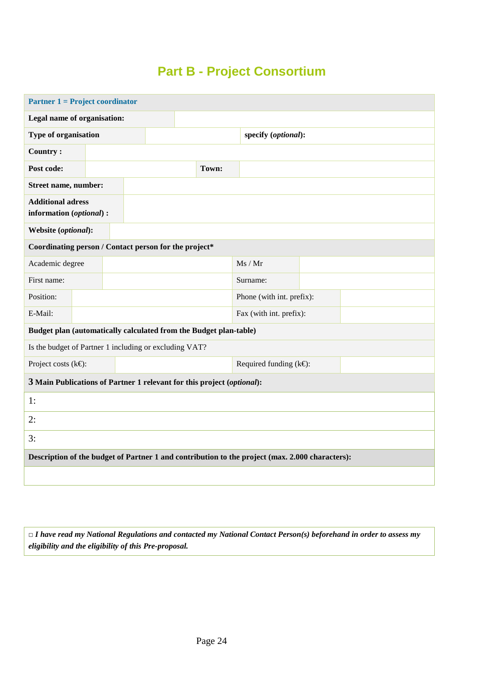# **Part B - Project Consortium**

| <b>Partner 1 = Project coordinator</b>                                 |  |  |  |       |                                                                                                 |  |  |  |
|------------------------------------------------------------------------|--|--|--|-------|-------------------------------------------------------------------------------------------------|--|--|--|
| Legal name of organisation:                                            |  |  |  |       |                                                                                                 |  |  |  |
| Type of organisation                                                   |  |  |  |       | specify (optional):                                                                             |  |  |  |
| <b>Country:</b>                                                        |  |  |  |       |                                                                                                 |  |  |  |
| Post code:                                                             |  |  |  | Town: |                                                                                                 |  |  |  |
| Street name, number:                                                   |  |  |  |       |                                                                                                 |  |  |  |
| <b>Additional adress</b><br>information (optional) :                   |  |  |  |       |                                                                                                 |  |  |  |
| Website (optional):                                                    |  |  |  |       |                                                                                                 |  |  |  |
| Coordinating person / Contact person for the project*                  |  |  |  |       |                                                                                                 |  |  |  |
| Academic degree                                                        |  |  |  |       | Ms / Mr                                                                                         |  |  |  |
| First name:                                                            |  |  |  |       | Surname:                                                                                        |  |  |  |
| Position:                                                              |  |  |  |       | Phone (with int. prefix):                                                                       |  |  |  |
| E-Mail:                                                                |  |  |  |       | Fax (with int. prefix):                                                                         |  |  |  |
| Budget plan (automatically calculated from the Budget plan-table)      |  |  |  |       |                                                                                                 |  |  |  |
| Is the budget of Partner 1 including or excluding VAT?                 |  |  |  |       |                                                                                                 |  |  |  |
| Project costs ( $k \in$ ):                                             |  |  |  |       | Required funding $(k \in \mathbb{R})$ :                                                         |  |  |  |
| 3 Main Publications of Partner 1 relevant for this project (optional): |  |  |  |       |                                                                                                 |  |  |  |
| 1:                                                                     |  |  |  |       |                                                                                                 |  |  |  |
| 2:                                                                     |  |  |  |       |                                                                                                 |  |  |  |
| 3:                                                                     |  |  |  |       |                                                                                                 |  |  |  |
|                                                                        |  |  |  |       | Description of the budget of Partner 1 and contribution to the project (max. 2.000 characters): |  |  |  |
|                                                                        |  |  |  |       |                                                                                                 |  |  |  |

**□** *I have read my National Regulations and contacted my National Contact Person(s) beforehand in order to assess my eligibility and the eligibility of this Pre-proposal.*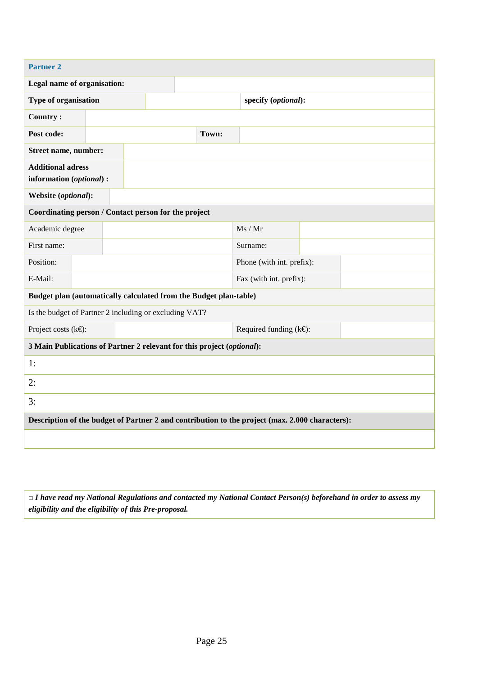| <b>Partner 2</b>                                     |                                                                        |  |       |                                                                                                 |  |  |  |  |
|------------------------------------------------------|------------------------------------------------------------------------|--|-------|-------------------------------------------------------------------------------------------------|--|--|--|--|
| Legal name of organisation:                          |                                                                        |  |       |                                                                                                 |  |  |  |  |
| Type of organisation                                 |                                                                        |  |       | specify (optional):                                                                             |  |  |  |  |
| <b>Country:</b>                                      |                                                                        |  |       |                                                                                                 |  |  |  |  |
| Post code:                                           |                                                                        |  | Town: |                                                                                                 |  |  |  |  |
| Street name, number:                                 |                                                                        |  |       |                                                                                                 |  |  |  |  |
| <b>Additional adress</b><br>information (optional) : |                                                                        |  |       |                                                                                                 |  |  |  |  |
| Website (optional):                                  |                                                                        |  |       |                                                                                                 |  |  |  |  |
| Coordinating person / Contact person for the project |                                                                        |  |       |                                                                                                 |  |  |  |  |
| Academic degree                                      |                                                                        |  |       | Ms / Mr                                                                                         |  |  |  |  |
| First name:                                          |                                                                        |  |       | Surname:                                                                                        |  |  |  |  |
| Position:                                            |                                                                        |  |       | Phone (with int. prefix):                                                                       |  |  |  |  |
| E-Mail:                                              |                                                                        |  |       | Fax (with int. prefix):                                                                         |  |  |  |  |
|                                                      | Budget plan (automatically calculated from the Budget plan-table)      |  |       |                                                                                                 |  |  |  |  |
|                                                      | Is the budget of Partner 2 including or excluding VAT?                 |  |       |                                                                                                 |  |  |  |  |
| Project costs ( $k \in \mathbb{S}$ ):                |                                                                        |  |       | Required funding $(k \in)$ :                                                                    |  |  |  |  |
|                                                      | 3 Main Publications of Partner 2 relevant for this project (optional): |  |       |                                                                                                 |  |  |  |  |
| 1:                                                   |                                                                        |  |       |                                                                                                 |  |  |  |  |
| 2:                                                   |                                                                        |  |       |                                                                                                 |  |  |  |  |
| 3:                                                   |                                                                        |  |       |                                                                                                 |  |  |  |  |
|                                                      |                                                                        |  |       | Description of the budget of Partner 2 and contribution to the project (max. 2.000 characters): |  |  |  |  |
|                                                      |                                                                        |  |       |                                                                                                 |  |  |  |  |

**□** *I have read my National Regulations and contacted my National Contact Person(s) beforehand in order to assess my eligibility and the eligibility of this Pre-proposal.*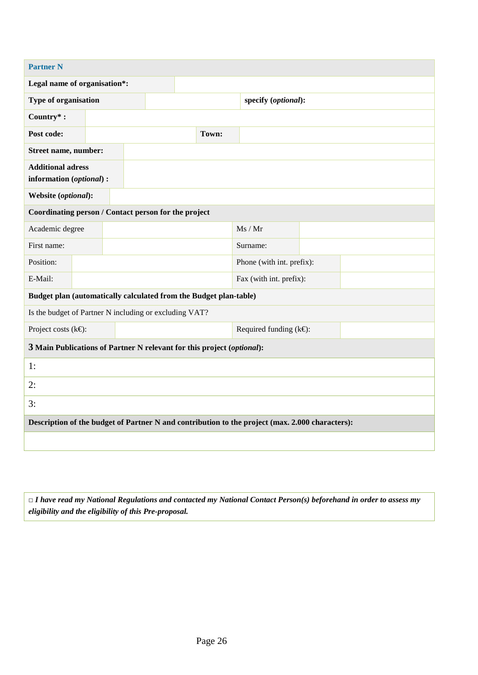| <b>Partner N</b>                                     |                                                                        |  |       |                                                                                                 |  |  |  |  |
|------------------------------------------------------|------------------------------------------------------------------------|--|-------|-------------------------------------------------------------------------------------------------|--|--|--|--|
| Legal name of organisation*:                         |                                                                        |  |       |                                                                                                 |  |  |  |  |
| Type of organisation                                 |                                                                        |  |       | specify (optional):                                                                             |  |  |  |  |
| Country*:                                            |                                                                        |  |       |                                                                                                 |  |  |  |  |
| Post code:                                           |                                                                        |  | Town: |                                                                                                 |  |  |  |  |
| Street name, number:                                 |                                                                        |  |       |                                                                                                 |  |  |  |  |
| <b>Additional adress</b><br>information (optional) : |                                                                        |  |       |                                                                                                 |  |  |  |  |
| Website (optional):                                  |                                                                        |  |       |                                                                                                 |  |  |  |  |
| Coordinating person / Contact person for the project |                                                                        |  |       |                                                                                                 |  |  |  |  |
| Academic degree                                      |                                                                        |  |       | Ms / Mr                                                                                         |  |  |  |  |
| First name:                                          |                                                                        |  |       | Surname:                                                                                        |  |  |  |  |
| Position:                                            |                                                                        |  |       | Phone (with int. prefix):                                                                       |  |  |  |  |
| E-Mail:                                              |                                                                        |  |       | Fax (with int. prefix):                                                                         |  |  |  |  |
|                                                      | Budget plan (automatically calculated from the Budget plan-table)      |  |       |                                                                                                 |  |  |  |  |
|                                                      | Is the budget of Partner N including or excluding VAT?                 |  |       |                                                                                                 |  |  |  |  |
| Project costs $(k \oplus)$ :                         |                                                                        |  |       | Required funding $(k \oplus)$ :                                                                 |  |  |  |  |
|                                                      | 3 Main Publications of Partner N relevant for this project (optional): |  |       |                                                                                                 |  |  |  |  |
| 1:                                                   |                                                                        |  |       |                                                                                                 |  |  |  |  |
| 2:                                                   |                                                                        |  |       |                                                                                                 |  |  |  |  |
| 3:                                                   |                                                                        |  |       |                                                                                                 |  |  |  |  |
|                                                      |                                                                        |  |       | Description of the budget of Partner N and contribution to the project (max. 2.000 characters): |  |  |  |  |
|                                                      |                                                                        |  |       |                                                                                                 |  |  |  |  |

**□** *I have read my National Regulations and contacted my National Contact Person(s) beforehand in order to assess my eligibility and the eligibility of this Pre-proposal.*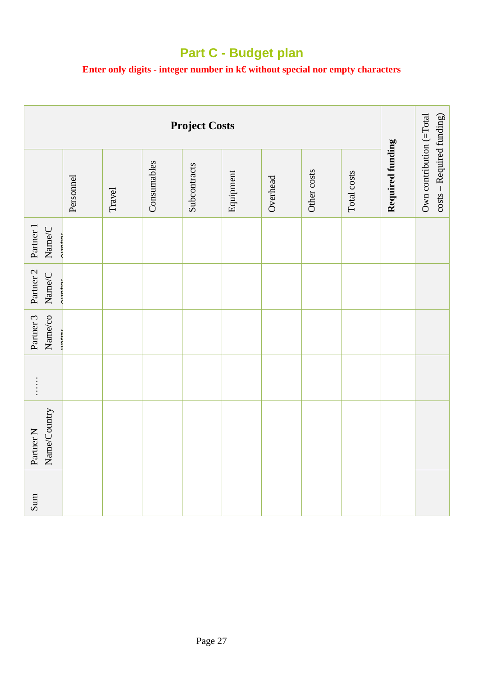# **Part C - Budget plan**

### **Enter only digits - integer number in k€ without special nor empty characters**

| <b>Project Costs</b>                                                     |           |        |             |              |           |          |             |             |                  |                                                       |
|--------------------------------------------------------------------------|-----------|--------|-------------|--------------|-----------|----------|-------------|-------------|------------------|-------------------------------------------------------|
|                                                                          | Personnel | Travel | Consumables | Subcontracts | Equipment | Overhead | Other costs | Total costs | Required funding | Own contribution (=Total<br>costs - Required funding) |
| Partner 1<br>Name/C                                                      |           |        |             |              |           |          |             |             |                  |                                                       |
| Partner 2<br>$\ensuremath{\mathsf{Name}}\xspace/\ensuremath{\mathsf{C}}$ |           |        |             |              |           |          |             |             |                  |                                                       |
| Partner 3<br>Name/co                                                     |           |        |             |              |           |          |             |             |                  |                                                       |
| $\begin{array}{c} \vdots \\ \vdots \\ \vdots \end{array}$                |           |        |             |              |           |          |             |             |                  |                                                       |
| Name/Country<br>Partner N                                                |           |        |             |              |           |          |             |             |                  |                                                       |
| Sum                                                                      |           |        |             |              |           |          |             |             |                  |                                                       |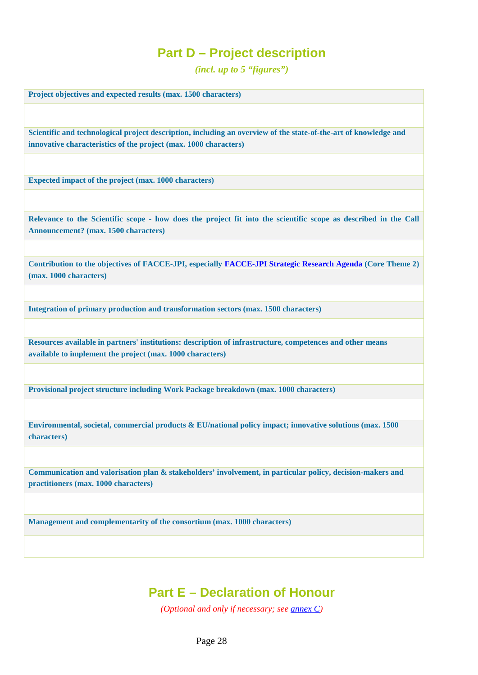### **Part D – Project description**

*(incl. up to 5 "figures")*

**Project objectives and expected results (max. 1500 characters)**

**Scientific and technological project description, including an overview of the state-of-the-art of knowledge and innovative characteristics of the project (max. 1000 characters)**

**Expected impact of the project (max. 1000 characters)**

**Relevance to the Scientific scope - how does the project fit into the scientific scope as described in the Call Announcement? (max. 1500 characters)**

**Contribution to the objectives of FACCE-JPI, especially [FACCE-JPI Strategic Research Agenda](http://www.faccejpi.com/Strategic-Research-Agenda) (Core Theme 2) (max. 1000 characters)**

**Integration of primary production and transformation sectors (max. 1500 characters)**

**Resources available in partners' institutions: description of infrastructure, competences and other means available to implement the project (max. 1000 characters)**

**Provisional project structure including Work Package breakdown (max. 1000 characters)**

**Environmental, societal, commercial products & EU/national policy impact; innovative solutions (max. 1500 characters)**

**Communication and valorisation plan & stakeholders' involvement, in particular policy, decision-makers and practitioners (max. 1000 characters)**

**Management and complementarity of the consortium (max. 1000 characters)**

### **Part E – Declaration of Honour**

*(Optional and only if necessary; see [annex C\)](#page-21-0)*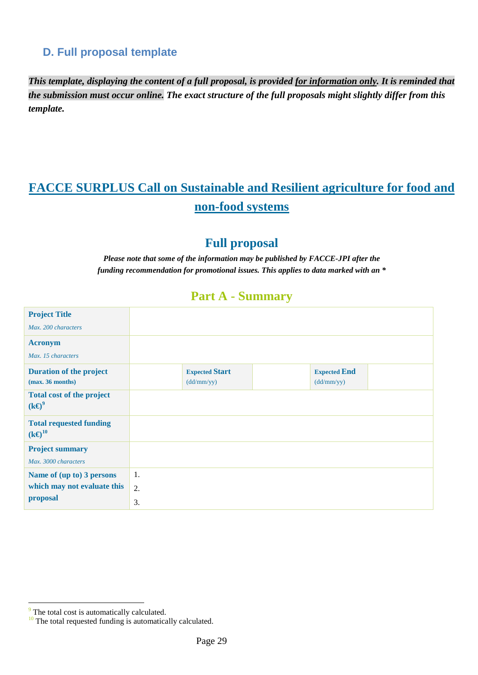### <span id="page-28-0"></span>**D. Full proposal template**

*This template, displaying the content of a full proposal, is provided for information only. It is reminded that the submission must occur online. The exact structure of the full proposals might slightly differ from this template.*

# **FACCE SURPLUS Call on Sustainable and Resilient agriculture for food and non-food systems**

### **Full proposal**

*Please note that some of the information may be published by FACCE-JPI after the funding recommendation for promotional issues. This applies to data marked with an \**

### **Part A - Summary**

| <b>Project Title</b>                               |    |                       |                     |  |
|----------------------------------------------------|----|-----------------------|---------------------|--|
| Max. 200 characters                                |    |                       |                     |  |
| <b>Acronym</b>                                     |    |                       |                     |  |
| Max. 15 characters                                 |    |                       |                     |  |
| <b>Duration of the project</b>                     |    | <b>Expected Start</b> | <b>Expected End</b> |  |
| (max. 36 months)                                   |    | (dd/mm/yy)            | $\frac{dd}{m}$      |  |
| <b>Total cost of the project</b><br>$(k\Theta^9)$  |    |                       |                     |  |
| <b>Total requested funding</b><br>$(k\Theta^{10})$ |    |                       |                     |  |
| <b>Project summary</b>                             |    |                       |                     |  |
| Max. 3000 characters                               |    |                       |                     |  |
| Name of (up to) 3 persons                          | 1. |                       |                     |  |
| which may not evaluate this                        | 2. |                       |                     |  |
| proposal                                           | 3. |                       |                     |  |

 $\overline{a}$ 

 $9^9$  The total cost is automatically calculated.

 $10$  The total requested funding is automatically calculated.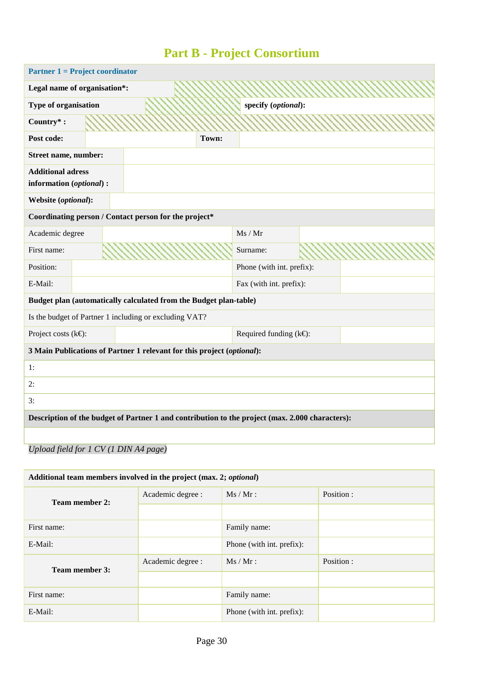# **Part B - Project Consortium**

| <b>Partner 1 = Project coordinator</b>               |  |                                                                        |       |                                                                                                 |  |  |  |  |
|------------------------------------------------------|--|------------------------------------------------------------------------|-------|-------------------------------------------------------------------------------------------------|--|--|--|--|
| Legal name of organisation*:                         |  |                                                                        |       |                                                                                                 |  |  |  |  |
| Type of organisation                                 |  |                                                                        |       | specify (optional):                                                                             |  |  |  |  |
| Country*:                                            |  |                                                                        |       |                                                                                                 |  |  |  |  |
| Post code:                                           |  |                                                                        | Town: |                                                                                                 |  |  |  |  |
| Street name, number:                                 |  |                                                                        |       |                                                                                                 |  |  |  |  |
| <b>Additional adress</b><br>information (optional) : |  |                                                                        |       |                                                                                                 |  |  |  |  |
| Website (optional):                                  |  |                                                                        |       |                                                                                                 |  |  |  |  |
|                                                      |  | Coordinating person / Contact person for the project*                  |       |                                                                                                 |  |  |  |  |
| Academic degree                                      |  |                                                                        |       | Ms / Mr                                                                                         |  |  |  |  |
| First name:                                          |  |                                                                        |       | Surname:                                                                                        |  |  |  |  |
| Position:                                            |  |                                                                        |       | Phone (with int. prefix):                                                                       |  |  |  |  |
| E-Mail:                                              |  |                                                                        |       | Fax (with int. prefix):                                                                         |  |  |  |  |
|                                                      |  | Budget plan (automatically calculated from the Budget plan-table)      |       |                                                                                                 |  |  |  |  |
|                                                      |  | Is the budget of Partner 1 including or excluding VAT?                 |       |                                                                                                 |  |  |  |  |
| Project costs ( $k \in \mathbb{C}$ ):                |  |                                                                        |       | Required funding $(k \in \mathbb{R})$ :                                                         |  |  |  |  |
|                                                      |  | 3 Main Publications of Partner 1 relevant for this project (optional): |       |                                                                                                 |  |  |  |  |
| 1:                                                   |  |                                                                        |       |                                                                                                 |  |  |  |  |
| 2:                                                   |  |                                                                        |       |                                                                                                 |  |  |  |  |
| 3:                                                   |  |                                                                        |       |                                                                                                 |  |  |  |  |
|                                                      |  |                                                                        |       | Description of the budget of Partner 1 and contribution to the project (max. 2.000 characters): |  |  |  |  |
|                                                      |  |                                                                        |       |                                                                                                 |  |  |  |  |

### *Upload field for 1 CV (1 DIN A4 page)*

| Additional team members involved in the project (max. 2; optional) |                   |                           |            |  |  |  |  |
|--------------------------------------------------------------------|-------------------|---------------------------|------------|--|--|--|--|
| <b>Team member 2:</b>                                              | Academic degree : | $Ms / Mr$ :               | Position:  |  |  |  |  |
|                                                                    |                   |                           |            |  |  |  |  |
| First name:                                                        |                   | Family name:              |            |  |  |  |  |
| E-Mail:                                                            |                   | Phone (with int. prefix): |            |  |  |  |  |
| <b>Team member 3:</b>                                              | Academic degree : | $Ms / Mr$ :               | Position : |  |  |  |  |
|                                                                    |                   |                           |            |  |  |  |  |
| First name:                                                        |                   | Family name:              |            |  |  |  |  |
| E-Mail:                                                            |                   | Phone (with int. prefix): |            |  |  |  |  |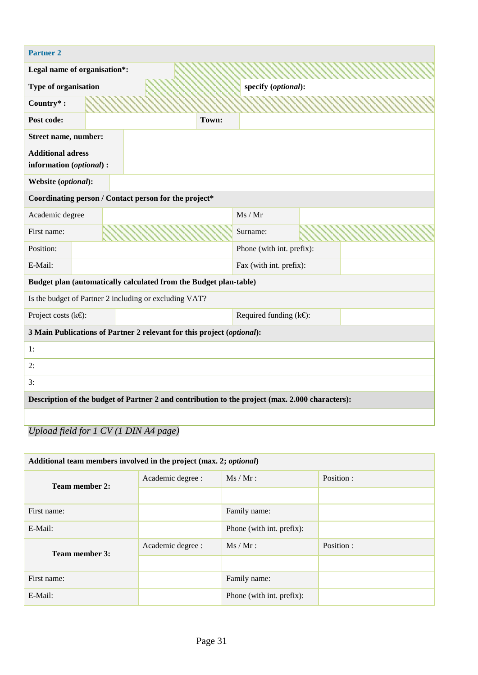| <b>Partner 2</b>                                                                                |       |                                 |  |  |  |
|-------------------------------------------------------------------------------------------------|-------|---------------------------------|--|--|--|
| Legal name of organisation*:                                                                    |       |                                 |  |  |  |
| Type of organisation                                                                            |       | specify (optional):             |  |  |  |
| Country*:                                                                                       |       |                                 |  |  |  |
| Post code:                                                                                      | Town: |                                 |  |  |  |
| Street name, number:                                                                            |       |                                 |  |  |  |
| <b>Additional adress</b><br>information (optional) :                                            |       |                                 |  |  |  |
| Website (optional):                                                                             |       |                                 |  |  |  |
| Coordinating person / Contact person for the project*                                           |       |                                 |  |  |  |
| Academic degree                                                                                 |       | Ms / Mr                         |  |  |  |
| First name:                                                                                     |       | Surname:                        |  |  |  |
| Position:                                                                                       |       | Phone (with int. prefix):       |  |  |  |
| E-Mail:                                                                                         |       | Fax (with int. prefix):         |  |  |  |
| Budget plan (automatically calculated from the Budget plan-table)                               |       |                                 |  |  |  |
| Is the budget of Partner 2 including or excluding VAT?                                          |       |                                 |  |  |  |
| Project costs ( $k \in \mathbb{C}$ ):                                                           |       | Required funding $(k \Theta)$ : |  |  |  |
| 3 Main Publications of Partner 2 relevant for this project (optional):                          |       |                                 |  |  |  |
| 1:                                                                                              |       |                                 |  |  |  |
| 2:                                                                                              |       |                                 |  |  |  |
| 3:                                                                                              |       |                                 |  |  |  |
| Description of the budget of Partner 2 and contribution to the project (max. 2.000 characters): |       |                                 |  |  |  |
|                                                                                                 |       |                                 |  |  |  |

# *Upload field for 1 CV (1 DIN A4 page)*

| Additional team members involved in the project (max. 2; optional) |                   |                           |            |  |  |  |  |
|--------------------------------------------------------------------|-------------------|---------------------------|------------|--|--|--|--|
| <b>Team member 2:</b>                                              | Academic degree : | $Ms/Mr$ :                 | Position : |  |  |  |  |
|                                                                    |                   |                           |            |  |  |  |  |
| First name:                                                        |                   | Family name:              |            |  |  |  |  |
| E-Mail:                                                            |                   | Phone (with int. prefix): |            |  |  |  |  |
| <b>Team member 3:</b>                                              | Academic degree : | $Ms / Mr$ :               | Position:  |  |  |  |  |
|                                                                    |                   |                           |            |  |  |  |  |
| First name:                                                        |                   | Family name:              |            |  |  |  |  |
| E-Mail:                                                            |                   | Phone (with int. prefix): |            |  |  |  |  |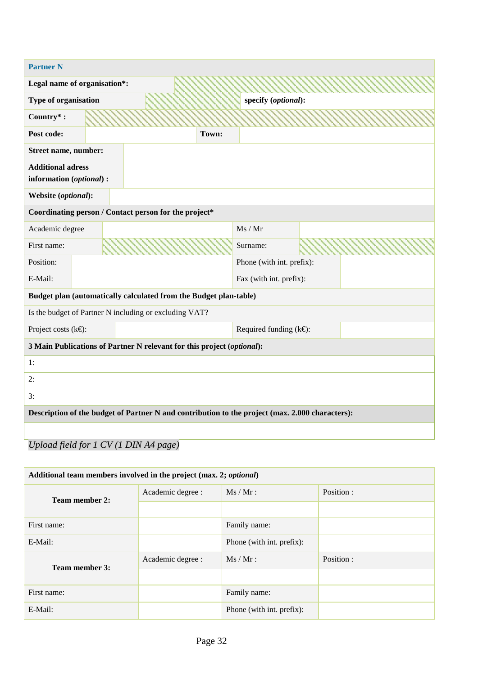| <b>Partner N</b>                                                                                |  |                                                                        |       |                                 |  |  |  |  |
|-------------------------------------------------------------------------------------------------|--|------------------------------------------------------------------------|-------|---------------------------------|--|--|--|--|
| Legal name of organisation*:                                                                    |  |                                                                        |       |                                 |  |  |  |  |
| Type of organisation                                                                            |  |                                                                        |       | specify (optional):             |  |  |  |  |
| Country*:                                                                                       |  |                                                                        |       |                                 |  |  |  |  |
| Post code:                                                                                      |  |                                                                        | Town: |                                 |  |  |  |  |
| Street name, number:                                                                            |  |                                                                        |       |                                 |  |  |  |  |
| <b>Additional adress</b><br>information (optional) :                                            |  |                                                                        |       |                                 |  |  |  |  |
| Website (optional):                                                                             |  |                                                                        |       |                                 |  |  |  |  |
| Coordinating person / Contact person for the project*                                           |  |                                                                        |       |                                 |  |  |  |  |
| Academic degree                                                                                 |  |                                                                        |       | Ms / Mr                         |  |  |  |  |
| First name:                                                                                     |  |                                                                        |       | Surname:                        |  |  |  |  |
| Position:                                                                                       |  |                                                                        |       | Phone (with int. prefix):       |  |  |  |  |
| E-Mail:                                                                                         |  |                                                                        |       | Fax (with int. prefix):         |  |  |  |  |
|                                                                                                 |  | Budget plan (automatically calculated from the Budget plan-table)      |       |                                 |  |  |  |  |
|                                                                                                 |  | Is the budget of Partner N including or excluding VAT?                 |       |                                 |  |  |  |  |
| Project costs ( $k \in \mathbb{S}$ ):                                                           |  |                                                                        |       | Required funding $(k \oplus)$ : |  |  |  |  |
|                                                                                                 |  | 3 Main Publications of Partner N relevant for this project (optional): |       |                                 |  |  |  |  |
| 1:                                                                                              |  |                                                                        |       |                                 |  |  |  |  |
| 2:                                                                                              |  |                                                                        |       |                                 |  |  |  |  |
| 3:                                                                                              |  |                                                                        |       |                                 |  |  |  |  |
| Description of the budget of Partner N and contribution to the project (max. 2.000 characters): |  |                                                                        |       |                                 |  |  |  |  |
|                                                                                                 |  |                                                                        |       |                                 |  |  |  |  |

*Upload field for 1 CV (1 DIN A4 page)*

| Additional team members involved in the project (max. 2; optional) |                   |                           |            |  |  |  |  |
|--------------------------------------------------------------------|-------------------|---------------------------|------------|--|--|--|--|
| <b>Team member 2:</b>                                              | Academic degree : | $Ms / Mr$ :               | Position : |  |  |  |  |
|                                                                    |                   |                           |            |  |  |  |  |
| First name:                                                        |                   | Family name:              |            |  |  |  |  |
| E-Mail:                                                            |                   | Phone (with int. prefix): |            |  |  |  |  |
| <b>Team member 3:</b>                                              | Academic degree : | $Ms / Mr$ :               | Position : |  |  |  |  |
|                                                                    |                   |                           |            |  |  |  |  |
| First name:                                                        |                   | Family name:              |            |  |  |  |  |
| E-Mail:                                                            |                   | Phone (with int. prefix): |            |  |  |  |  |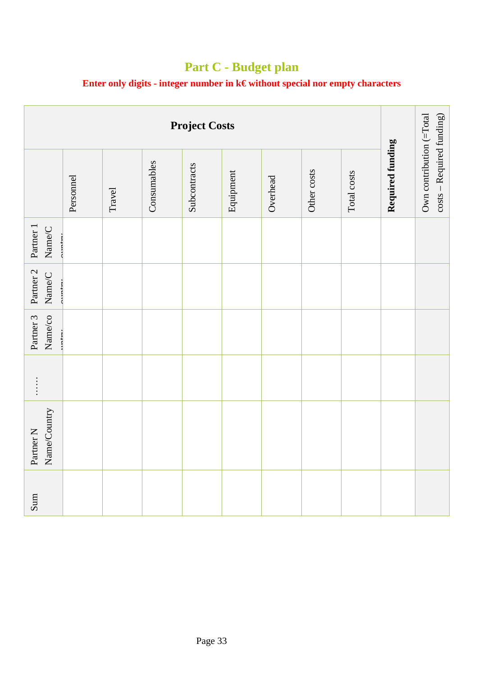# **Part C - Budget plan**

### **Enter only digits - integer number in k€ without special nor empty characters**

| <b>Project Costs</b>                                                     |           |        |             |              |           |          |             |             |                  |                                                       |
|--------------------------------------------------------------------------|-----------|--------|-------------|--------------|-----------|----------|-------------|-------------|------------------|-------------------------------------------------------|
|                                                                          | Personnel | Travel | Consumables | Subcontracts | Equipment | Overhead | Other costs | Total costs | Required funding | Own contribution (=Total<br>costs - Required funding) |
| Partner 1<br>Name/C                                                      |           |        |             |              |           |          |             |             |                  |                                                       |
| Partner 2<br>$\ensuremath{\mathsf{Name}}\xspace/\ensuremath{\mathsf{C}}$ |           |        |             |              |           |          |             |             |                  |                                                       |
| Partner 3<br>Name/co                                                     |           |        |             |              |           |          |             |             |                  |                                                       |
| $\vdots$                                                                 |           |        |             |              |           |          |             |             |                  |                                                       |
| Name/Country<br>Partner <sub>N</sub>                                     |           |        |             |              |           |          |             |             |                  |                                                       |
| Sum                                                                      |           |        |             |              |           |          |             |             |                  |                                                       |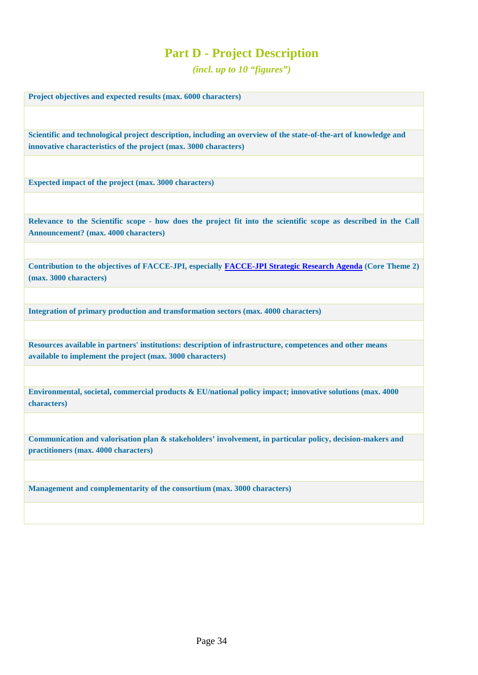### **Part D - Project Description**

*(incl. up to 10 "figures")*

**Project objectives and expected results (max. 6000 characters)**

**Scientific and technological project description, including an overview of the state-of-the-art of knowledge and innovative characteristics of the project (max. 3000 characters)**

**Expected impact of the project (max. 3000 characters)**

**Relevance to the Scientific scope - how does the project fit into the scientific scope as described in the Call Announcement? (max. 4000 characters)** 

**Contribution to the objectives of FACCE-JPI, especially [FACCE-JPI Strategic Research Agenda](http://www.faccejpi.com/Strategic-Research-Agenda) (Core Theme 2) (max. 3000 characters)**

**Integration of primary production and transformation sectors (max. 4000 characters)**

**Resources available in partners' institutions: description of infrastructure, competences and other means available to implement the project (max. 3000 characters)**

**Environmental, societal, commercial products & EU/national policy impact; innovative solutions (max. 4000 characters)**

**Communication and valorisation plan & stakeholders' involvement, in particular policy, decision-makers and practitioners (max. 4000 characters)**

**Management and complementarity of the consortium (max. 3000 characters)**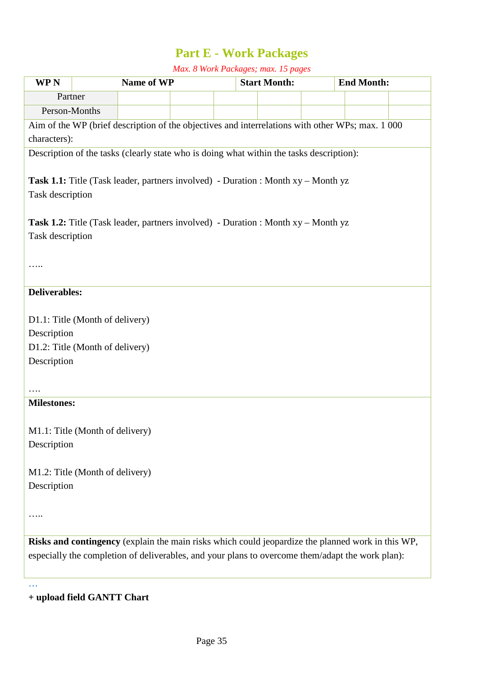# **Part E - Work Packages**

*Max. 8 Work Packages; max. 15 pages*

| <b>WPN</b>                                                                                       |                                                                                          | Name of WP                                                                                        |  |  | <b>Start Month:</b> |  | <b>End Month:</b> |  |  |  |
|--------------------------------------------------------------------------------------------------|------------------------------------------------------------------------------------------|---------------------------------------------------------------------------------------------------|--|--|---------------------|--|-------------------|--|--|--|
| Partner                                                                                          |                                                                                          |                                                                                                   |  |  |                     |  |                   |  |  |  |
|                                                                                                  | Person-Months                                                                            |                                                                                                   |  |  |                     |  |                   |  |  |  |
|                                                                                                  |                                                                                          | Aim of the WP (brief description of the objectives and interrelations with other WPs; max. 1 000  |  |  |                     |  |                   |  |  |  |
|                                                                                                  | characters):                                                                             |                                                                                                   |  |  |                     |  |                   |  |  |  |
|                                                                                                  | Description of the tasks (clearly state who is doing what within the tasks description): |                                                                                                   |  |  |                     |  |                   |  |  |  |
|                                                                                                  | <b>Task 1.1:</b> Title (Task leader, partners involved) - Duration : Month xy – Month yz |                                                                                                   |  |  |                     |  |                   |  |  |  |
|                                                                                                  |                                                                                          |                                                                                                   |  |  |                     |  |                   |  |  |  |
| Task description                                                                                 |                                                                                          |                                                                                                   |  |  |                     |  |                   |  |  |  |
|                                                                                                  |                                                                                          | <b>Task 1.2:</b> Title (Task leader, partners involved) - Duration : Month xy – Month yz          |  |  |                     |  |                   |  |  |  |
| Task description                                                                                 |                                                                                          |                                                                                                   |  |  |                     |  |                   |  |  |  |
|                                                                                                  |                                                                                          |                                                                                                   |  |  |                     |  |                   |  |  |  |
|                                                                                                  |                                                                                          |                                                                                                   |  |  |                     |  |                   |  |  |  |
|                                                                                                  |                                                                                          |                                                                                                   |  |  |                     |  |                   |  |  |  |
| <b>Deliverables:</b>                                                                             |                                                                                          |                                                                                                   |  |  |                     |  |                   |  |  |  |
|                                                                                                  |                                                                                          |                                                                                                   |  |  |                     |  |                   |  |  |  |
| D1.1: Title (Month of delivery)                                                                  |                                                                                          |                                                                                                   |  |  |                     |  |                   |  |  |  |
| Description                                                                                      |                                                                                          |                                                                                                   |  |  |                     |  |                   |  |  |  |
| D1.2: Title (Month of delivery)                                                                  |                                                                                          |                                                                                                   |  |  |                     |  |                   |  |  |  |
| Description                                                                                      |                                                                                          |                                                                                                   |  |  |                     |  |                   |  |  |  |
|                                                                                                  |                                                                                          |                                                                                                   |  |  |                     |  |                   |  |  |  |
| <b>Milestones:</b>                                                                               |                                                                                          |                                                                                                   |  |  |                     |  |                   |  |  |  |
|                                                                                                  |                                                                                          |                                                                                                   |  |  |                     |  |                   |  |  |  |
| M1.1: Title (Month of delivery)                                                                  |                                                                                          |                                                                                                   |  |  |                     |  |                   |  |  |  |
| Description                                                                                      |                                                                                          |                                                                                                   |  |  |                     |  |                   |  |  |  |
|                                                                                                  |                                                                                          |                                                                                                   |  |  |                     |  |                   |  |  |  |
| M1.2: Title (Month of delivery)                                                                  |                                                                                          |                                                                                                   |  |  |                     |  |                   |  |  |  |
| Description                                                                                      |                                                                                          |                                                                                                   |  |  |                     |  |                   |  |  |  |
|                                                                                                  |                                                                                          |                                                                                                   |  |  |                     |  |                   |  |  |  |
|                                                                                                  |                                                                                          |                                                                                                   |  |  |                     |  |                   |  |  |  |
|                                                                                                  |                                                                                          |                                                                                                   |  |  |                     |  |                   |  |  |  |
|                                                                                                  |                                                                                          | Risks and contingency (explain the main risks which could jeopardize the planned work in this WP, |  |  |                     |  |                   |  |  |  |
| especially the completion of deliverables, and your plans to overcome them/adapt the work plan): |                                                                                          |                                                                                                   |  |  |                     |  |                   |  |  |  |
|                                                                                                  |                                                                                          |                                                                                                   |  |  |                     |  |                   |  |  |  |
|                                                                                                  |                                                                                          |                                                                                                   |  |  |                     |  |                   |  |  |  |

**+ upload field GANTT Chart**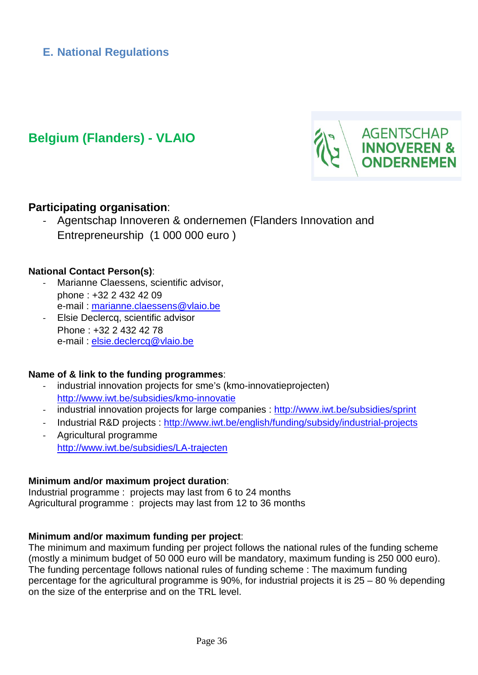<span id="page-35-0"></span>**E. National Regulations**

# **Belgium (Flanders) - VLAIO**



#### **Participating organisation**:

Agentschap Innoveren & ondernemen (Flanders Innovation and Entrepreneurship (1 000 000 euro )

#### **National Contact Person(s)**:

- Marianne Claessens, scientific advisor, phone : +32 2 432 42 09 e-mail : [marianne.claessens@vlaio.be](mailto:marianne.claessens@vlaio.be)
- Elsie Declercq, scientific advisor Phone : +32 2 432 42 78 e-mail : [elsie.declercq@vlaio.be](mailto:elsie.declercq@vlaio.be)

#### **Name of & link to the funding programmes**:

- industrial innovation projects for sme's (kmo-innovatieprojecten) <http://www.iwt.be/subsidies/kmo-innovatie>
- industrial innovation projects for large companies :<http://www.iwt.be/subsidies/sprint>
- Industrial R&D projects :<http://www.iwt.be/english/funding/subsidy/industrial-projects>
- Agricultural programme <http://www.iwt.be/subsidies/LA-trajecten>

#### **Minimum and/or maximum project duration**:

Industrial programme : projects may last from 6 to 24 months Agricultural programme : projects may last from 12 to 36 months

#### **Minimum and/or maximum funding per project**:

The minimum and maximum funding per project follows the national rules of the funding scheme (mostly a minimum budget of 50 000 euro will be mandatory, maximum funding is 250 000 euro). The funding percentage follows national rules of funding scheme : The maximum funding percentage for the agricultural programme is 90%, for industrial projects it is 25 – 80 % depending on the size of the enterprise and on the TRL level.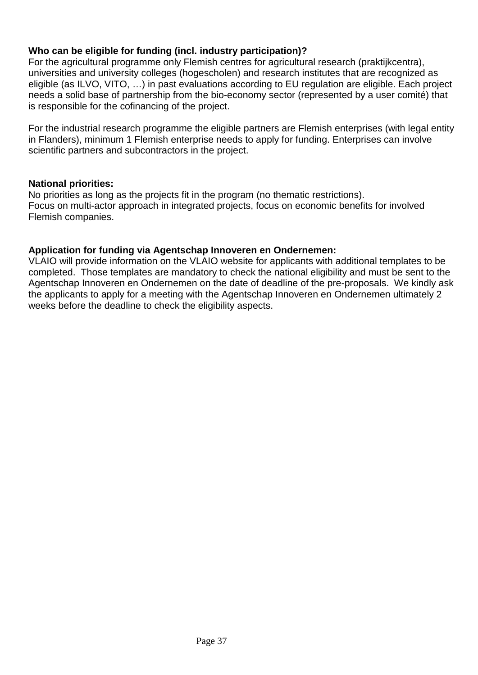#### **Who can be eligible for funding (incl. industry participation)?**

For the agricultural programme only Flemish centres for agricultural research (praktijkcentra), universities and university colleges (hogescholen) and research institutes that are recognized as eligible (as ILVO, VITO, …) in past evaluations according to EU regulation are eligible. Each project needs a solid base of partnership from the bio-economy sector (represented by a user comité) that is responsible for the cofinancing of the project.

For the industrial research programme the eligible partners are Flemish enterprises (with legal entity in Flanders), minimum 1 Flemish enterprise needs to apply for funding. Enterprises can involve scientific partners and subcontractors in the project.

#### **National priorities:**

No priorities as long as the projects fit in the program (no thematic restrictions). Focus on multi-actor approach in integrated projects, focus on economic benefits for involved Flemish companies.

#### **Application for funding via Agentschap Innoveren en Ondernemen:**

VLAIO will provide information on the VLAIO website for applicants with additional templates to be completed. Those templates are mandatory to check the national eligibility and must be sent to the Agentschap Innoveren en Ondernemen on the date of deadline of the pre-proposals. We kindly ask the applicants to apply for a meeting with the Agentschap Innoveren en Ondernemen ultimately 2 weeks before the deadline to check the eligibility aspects.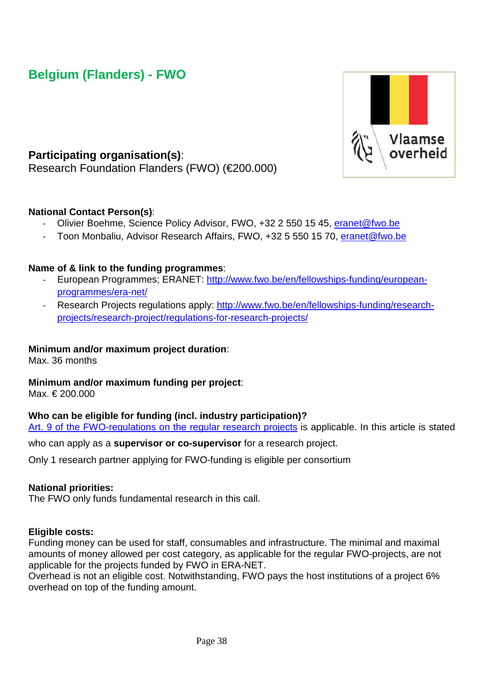# **Belgium (Flanders) - FWO**



#### **Participating organisation(s)**: Research Foundation Flanders (FWO) (€200.000)

#### **National Contact Person(s)**:

- Olivier Boehme, Science Policy Advisor, FWO, +32 2 550 15 45, [eranet@fwo.be](mailto:eranet@fwo.be)
- Toon Monbaliu, Advisor Research Affairs, FWO, +32 5 550 15 70, [eranet@fwo.be](mailto:eranet@fwo.be)

#### **Name of & link to the funding programmes**:

- European Programmes; ERANET: [http://www.fwo.be/en/fellowships-funding/european](http://www.fwo.be/en/fellowships-funding/european-programmes/era-net/)[programmes/era-net/](http://www.fwo.be/en/fellowships-funding/european-programmes/era-net/)
- Research Projects regulations apply: [http://www.fwo.be/en/fellowships-funding/research](http://www.fwo.be/en/fellowships-funding/research-projects/research-project/regulations-for-research-projects/)[projects/research-project/regulations-for-research-projects/](http://www.fwo.be/en/fellowships-funding/research-projects/research-project/regulations-for-research-projects/)

#### **Minimum and/or maximum project duration**:

Max. 36 months

#### **Minimum and/or maximum funding per project**:

 $Max \text{ } \in 200,000$ 

#### **Who can be eligible for funding (incl. industry participation)?**

[Art. 9 of the FWO-regulations on the regular research projects](http://www.fwo.be/en/fellowships-funding/research-projects/research-project/regulations-for-research-projects/) is applicable. In this article is stated

who can apply as a **supervisor or co-supervisor** for a research project.

Only 1 research partner applying for FWO-funding is eligible per consortium

#### **National priorities:**

The FWO only funds fundamental research in this call.

#### **Eligible costs:**

Funding money can be used for staff, consumables and infrastructure. The minimal and maximal amounts of money allowed per cost category, as applicable for the regular FWO-projects, are not applicable for the projects funded by FWO in ERA-NET.

Overhead is not an eligible cost. Notwithstanding, FWO pays the host institutions of a project 6% overhead on top of the funding amount.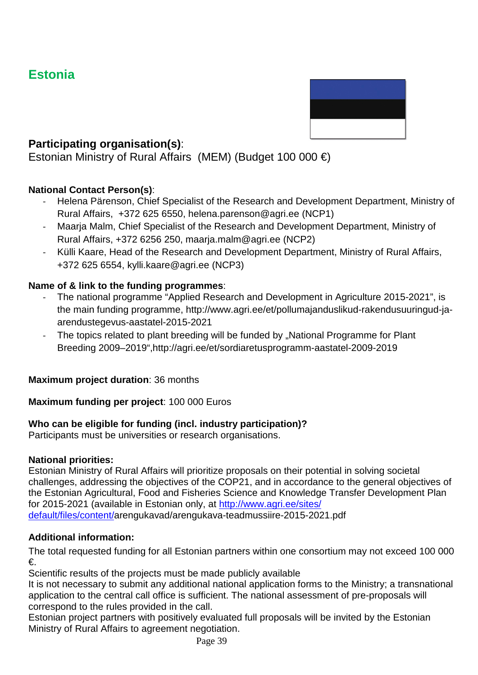

### **Participating organisation(s)**:

Estonian Ministry of Rural Affairs (MEM) (Budget 100 000 €)

#### **National Contact Person(s)**:

- Helena Pärenson, Chief Specialist of the Research and Development Department, Ministry of Rural Affairs, +372 625 6550, helena.parenson@agri.ee (NCP1)
- Maarja Malm, Chief Specialist of the Research and Development Department, Ministry of Rural Affairs, +372 6256 250, maarja.malm@agri.ee (NCP2)
- Külli Kaare, Head of the Research and Development Department, Ministry of Rural Affairs, +372 625 6554, kylli.kaare@agri.ee (NCP3)

#### **Name of & link to the funding programmes**:

- The national programme "Applied Research and Development in Agriculture 2015-2021", is the main funding programme, http://www.agri.ee/et/pollumajanduslikud-rakendusuuringud-jaarendustegevus-aastatel-2015-2021
- The topics related to plant breeding will be funded by "National Programme for Plant Breeding 2009–2019",http://agri.ee/et/sordiaretusprogramm-aastatel-2009-2019

#### **Maximum project duration**: 36 months

#### **Maximum funding per project**: 100 000 Euros

#### **Who can be eligible for funding (incl. industry participation)?**

Participants must be universities or research organisations.

#### **National priorities:**

Estonian Ministry of Rural Affairs will prioritize proposals on their potential in solving societal challenges, addressing the objectives of the COP21, and in accordance to the general objectives of the Estonian Agricultural, Food and Fisheries Science and Knowledge Transfer Development Plan for 2015-2021 (available in Estonian only, at [http://www.agri.ee/sites/](http://www.agri.ee/sites/%20default/files/content/) 

[default/files/content/a](http://www.agri.ee/sites/%20default/files/content/)rengukavad/arengukava-teadmussiire-2015-2021.pdf

#### **Additional information:**

The total requested funding for all Estonian partners within one consortium may not exceed 100 000 €.

Scientific results of the projects must be made publicly available

It is not necessary to submit any additional national application forms to the Ministry; a transnational application to the central call office is sufficient. The national assessment of pre-proposals will correspond to the rules provided in the call.

Estonian project partners with positively evaluated full proposals will be invited by the Estonian Ministry of Rural Affairs to agreement negotiation.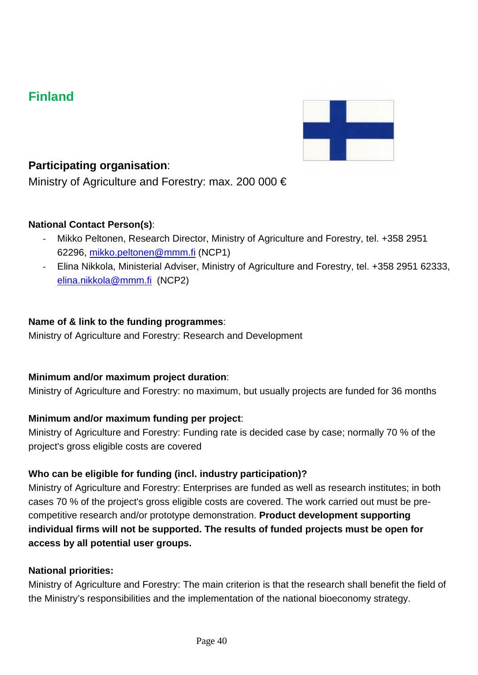# **Finland**



### **Participating organisation**:

Ministry of Agriculture and Forestry: max. 200 000 €

#### **National Contact Person(s)**:

- Mikko Peltonen, Research Director, Ministry of Agriculture and Forestry, tel. +358 2951 62296, [mikko.peltonen@mmm.fi](mailto:mikko.peltonen@mmm.fi) (NCP1)
- Elina Nikkola, Ministerial Adviser, Ministry of Agriculture and Forestry, tel. +358 2951 62333, [elina.nikkola@mmm.fi](mailto:elina.nikkola@mmm.fi) (NCP2)

#### **Name of & link to the funding programmes**:

Ministry of Agriculture and Forestry: Research and Development

#### **Minimum and/or maximum project duration**:

Ministry of Agriculture and Forestry: no maximum, but usually projects are funded for 36 months

#### **Minimum and/or maximum funding per project**:

Ministry of Agriculture and Forestry: Funding rate is decided case by case; normally 70 % of the project's gross eligible costs are covered

#### **Who can be eligible for funding (incl. industry participation)?**

Ministry of Agriculture and Forestry: Enterprises are funded as well as research institutes; in both cases 70 % of the project's gross eligible costs are covered. The work carried out must be precompetitive research and/or prototype demonstration. **Product development supporting individual firms will not be supported. The results of funded projects must be open for access by all potential user groups.**

#### **National priorities:**

Ministry of Agriculture and Forestry: The main criterion is that the research shall benefit the field of the Ministry's responsibilities and the implementation of the national bioeconomy strategy.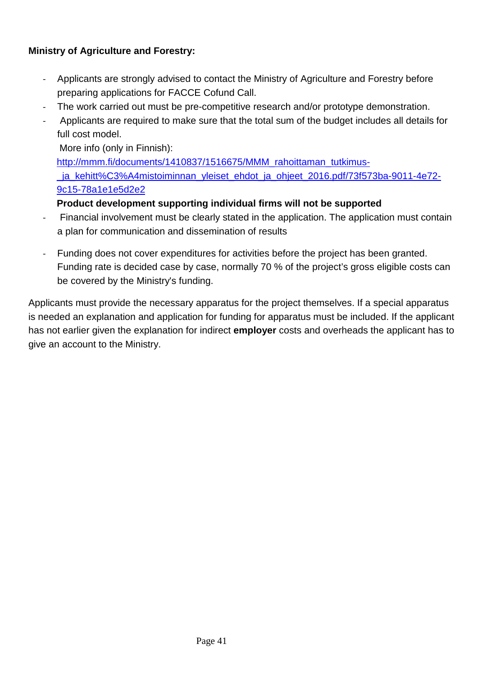#### **Ministry of Agriculture and Forestry:**

- Applicants are strongly advised to contact the Ministry of Agriculture and Forestry before preparing applications for FACCE Cofund Call.
- The work carried out must be pre-competitive research and/or prototype demonstration.
- Applicants are required to make sure that the total sum of the budget includes all details for full cost model.

More info (only in Finnish):

[http://mmm.fi/documents/1410837/1516675/MMM\\_rahoittaman\\_tutkimus-](http://mmm.fi/documents/1410837/1516675/MMM_rahoittaman_tutkimus-_ja_kehitt%C3%A4mistoiminnan_yleiset_ehdot_ja_ohjeet_2016.pdf/73f573ba-9011-4e72-9c15-78a1e1e5d2e2) [\\_ja\\_kehitt%C3%A4mistoiminnan\\_yleiset\\_ehdot\\_ja\\_ohjeet\\_2016.pdf/73f573ba-9011-4e72-](http://mmm.fi/documents/1410837/1516675/MMM_rahoittaman_tutkimus-_ja_kehitt%C3%A4mistoiminnan_yleiset_ehdot_ja_ohjeet_2016.pdf/73f573ba-9011-4e72-9c15-78a1e1e5d2e2) [9c15-78a1e1e5d2e2](http://mmm.fi/documents/1410837/1516675/MMM_rahoittaman_tutkimus-_ja_kehitt%C3%A4mistoiminnan_yleiset_ehdot_ja_ohjeet_2016.pdf/73f573ba-9011-4e72-9c15-78a1e1e5d2e2)

#### **Product development supporting individual firms will not be supported**

- Financial involvement must be clearly stated in the application. The application must contain a plan for communication and dissemination of results
- Funding does not cover expenditures for activities before the project has been granted. Funding rate is decided case by case, normally 70 % of the project's gross eligible costs can be covered by the Ministry's funding.

Applicants must provide the necessary apparatus for the project themselves. If a special apparatus is needed an explanation and application for funding for apparatus must be included. If the applicant has not earlier given the explanation for indirect **employer** costs and overheads the applicant has to give an account to the Ministry.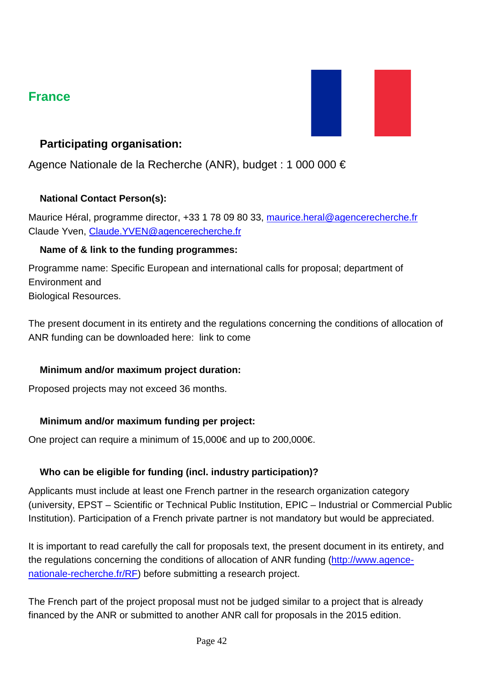# **France**



### **Participating organisation:**

Agence Nationale de la Recherche (ANR), budget : 1 000 000 €

#### **National Contact Person(s):**

Maurice Héral, programme director, +33 1 78 09 80 33, [maurice.heral@agencerecherche.fr](mailto:maurice.heral@agencerecherche.fr) Claude Yven, [Claude.YVEN@agencerecherche.fr](mailto:Claude.YVEN@agencerecherche.fr)

#### **Name of & link to the funding programmes:**

Programme name: Specific European and international calls for proposal; department of Environment and Biological Resources.

The present document in its entirety and the regulations concerning the conditions of allocation of ANR funding can be downloaded here: link to come

#### **Minimum and/or maximum project duration:**

Proposed projects may not exceed 36 months.

#### **Minimum and/or maximum funding per project:**

One project can require a minimum of 15,000€ and up to 200,000€.

#### **Who can be eligible for funding (incl. industry participation)?**

Applicants must include at least one French partner in the research organization category (university, EPST – Scientific or Technical Public Institution, EPIC – Industrial or Commercial Public Institution). Participation of a French private partner is not mandatory but would be appreciated.

It is important to read carefully the call for proposals text, the present document in its entirety, and the regulations concerning the conditions of allocation of ANR funding [\(http://www.agence](http://www.agence-nationale-recherche.fr/RF)[nationale-recherche.fr/RF\)](http://www.agence-nationale-recherche.fr/RF) before submitting a research project.

The French part of the project proposal must not be judged similar to a project that is already financed by the ANR or submitted to another ANR call for proposals in the 2015 edition.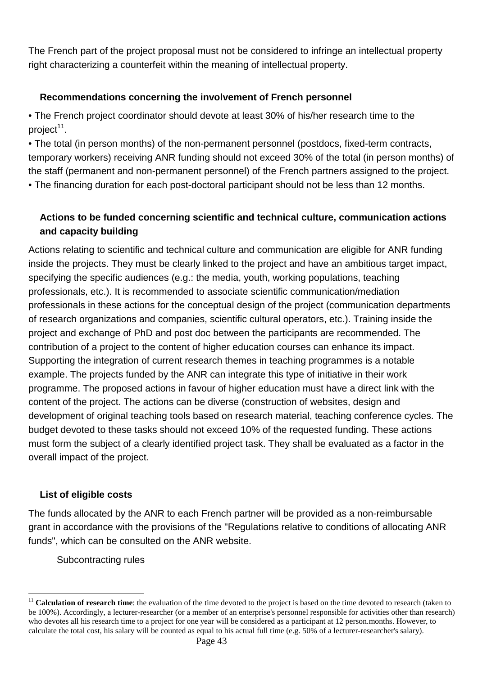The French part of the project proposal must not be considered to infringe an intellectual property right characterizing a counterfeit within the meaning of intellectual property.

#### **Recommendations concerning the involvement of French personnel**

• The French project coordinator should devote at least 30% of his/her research time to the project<sup>11</sup>.

• The total (in person months) of the non-permanent personnel (postdocs, fixed-term contracts, temporary workers) receiving ANR funding should not exceed 30% of the total (in person months) of the staff (permanent and non-permanent personnel) of the French partners assigned to the project.

• The financing duration for each post-doctoral participant should not be less than 12 months.

### **Actions to be funded concerning scientific and technical culture, communication actions and capacity building**

Actions relating to scientific and technical culture and communication are eligible for ANR funding inside the projects. They must be clearly linked to the project and have an ambitious target impact, specifying the specific audiences (e.g.: the media, youth, working populations, teaching professionals, etc.). It is recommended to associate scientific communication/mediation professionals in these actions for the conceptual design of the project (communication departments of research organizations and companies, scientific cultural operators, etc.). Training inside the project and exchange of PhD and post doc between the participants are recommended. The contribution of a project to the content of higher education courses can enhance its impact. Supporting the integration of current research themes in teaching programmes is a notable example. The projects funded by the ANR can integrate this type of initiative in their work programme. The proposed actions in favour of higher education must have a direct link with the content of the project. The actions can be diverse (construction of websites, design and development of original teaching tools based on research material, teaching conference cycles. The budget devoted to these tasks should not exceed 10% of the requested funding. These actions must form the subject of a clearly identified project task. They shall be evaluated as a factor in the overall impact of the project.

#### **List of eligible costs**

The funds allocated by the ANR to each French partner will be provided as a non-reimbursable grant in accordance with the provisions of the "Regulations relative to conditions of allocating ANR funds", which can be consulted on the ANR website.

Subcontracting rules

<sup>11</sup> **Calculation of research time**: the evaluation of the time devoted to the project is based on the time devoted to research (taken to be 100%). Accordingly, a lecturer-researcher (or a member of an enterprise's personnel responsible for activities other than research) who devotes all his research time to a project for one year will be considered as a participant at 12 person.months. However, to calculate the total cost, his salary will be counted as equal to his actual full time (e.g. 50% of a lecturer-researcher's salary).  $11$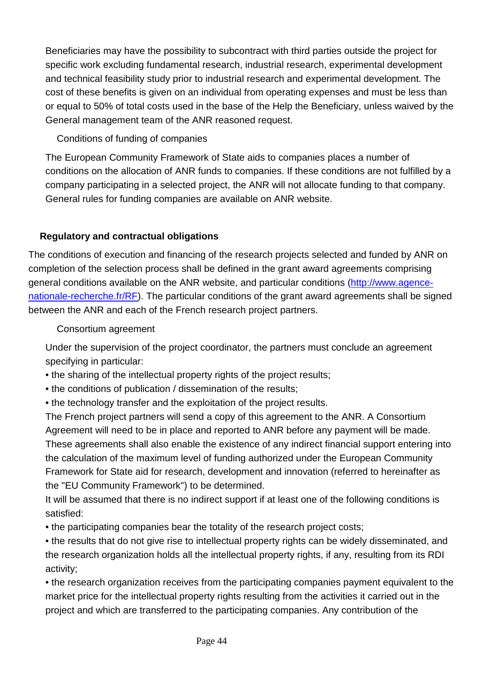Beneficiaries may have the possibility to subcontract with third parties outside the project for specific work excluding fundamental research, industrial research, experimental development and technical feasibility study prior to industrial research and experimental development. The cost of these benefits is given on an individual from operating expenses and must be less than or equal to 50% of total costs used in the base of the Help the Beneficiary, unless waived by the General management team of the ANR reasoned request.

Conditions of funding of companies

The European Community Framework of State aids to companies places a number of conditions on the allocation of ANR funds to companies. If these conditions are not fulfilled by a company participating in a selected project, the ANR will not allocate funding to that company. General rules for funding companies are available on ANR website.

#### **Regulatory and contractual obligations**

The conditions of execution and financing of the research projects selected and funded by ANR on completion of the selection process shall be defined in the grant award agreements comprising general conditions available on the ANR website, and particular conditions [\(http://www.agence](http://www.agence-nationale-recherche.fr/RF)[nationale-recherche.fr/RF\)](http://www.agence-nationale-recherche.fr/RF). The particular conditions of the grant award agreements shall be signed between the ANR and each of the French research project partners.

Consortium agreement

Under the supervision of the project coordinator, the partners must conclude an agreement specifying in particular:

• the sharing of the intellectual property rights of the project results;

- the conditions of publication / dissemination of the results;
- the technology transfer and the exploitation of the project results.

The French project partners will send a copy of this agreement to the ANR. A Consortium Agreement will need to be in place and reported to ANR before any payment will be made. These agreements shall also enable the existence of any indirect financial support entering into the calculation of the maximum level of funding authorized under the European Community Framework for State aid for research, development and innovation (referred to hereinafter as the "EU Community Framework") to be determined.

It will be assumed that there is no indirect support if at least one of the following conditions is satisfied:

• the participating companies bear the totality of the research project costs;

• the results that do not give rise to intellectual property rights can be widely disseminated, and the research organization holds all the intellectual property rights, if any, resulting from its RDI activity;

• the research organization receives from the participating companies payment equivalent to the market price for the intellectual property rights resulting from the activities it carried out in the project and which are transferred to the participating companies. Any contribution of the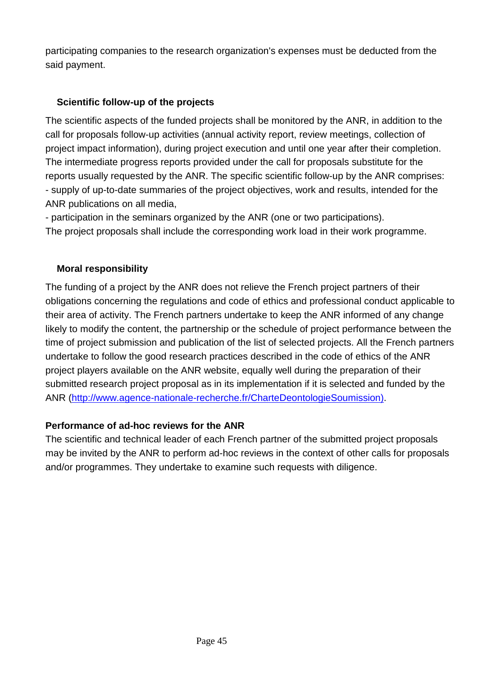participating companies to the research organization's expenses must be deducted from the said payment.

### **Scientific follow-up of the projects**

The scientific aspects of the funded projects shall be monitored by the ANR, in addition to the call for proposals follow-up activities (annual activity report, review meetings, collection of project impact information), during project execution and until one year after their completion. The intermediate progress reports provided under the call for proposals substitute for the reports usually requested by the ANR. The specific scientific follow-up by the ANR comprises: - supply of up-to-date summaries of the project objectives, work and results, intended for the ANR publications on all media,

- participation in the seminars organized by the ANR (one or two participations). The project proposals shall include the corresponding work load in their work programme.

#### **Moral responsibility**

The funding of a project by the ANR does not relieve the French project partners of their obligations concerning the regulations and code of ethics and professional conduct applicable to their area of activity. The French partners undertake to keep the ANR informed of any change likely to modify the content, the partnership or the schedule of project performance between the time of project submission and publication of the list of selected projects. All the French partners undertake to follow the good research practices described in the code of ethics of the ANR project players available on the ANR website, equally well during the preparation of their submitted research project proposal as in its implementation if it is selected and funded by the ANR [\(http://www.agence-nationale-recherche.fr/CharteDeontologieSoumission\)](http://www.agence-nationale-recherche.fr/CharteDeontologieSoumission).

#### **Performance of ad-hoc reviews for the ANR**

The scientific and technical leader of each French partner of the submitted project proposals may be invited by the ANR to perform ad-hoc reviews in the context of other calls for proposals and/or programmes. They undertake to examine such requests with diligence.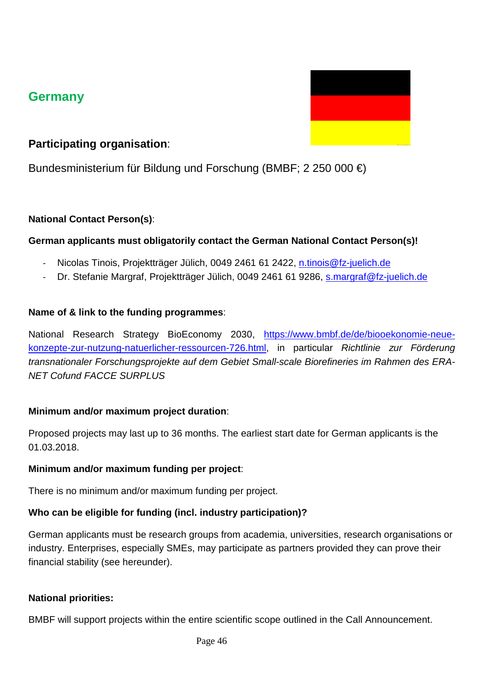## **Germany**



### **Participating organisation**:

Bundesministerium für Bildung und Forschung (BMBF; 2 250 000 €)

#### **National Contact Person(s)**:

#### **German applicants must obligatorily contact the German National Contact Person(s)!**

- Nicolas Tinois, Projektträger Jülich, 0049 2461 61 2422, [n.tinois@fz-juelich.de](mailto:n.tinois@fz-juelich.de)
- Dr. Stefanie Margraf, Projektträger Jülich, 0049 2461 61 9286, [s.margraf@fz-juelich.de](mailto:s.margraf@fz-juelich.de)

#### **Name of & link to the funding programmes**:

National Research Strategy BioEconomy 2030, [https://www.bmbf.de/de/biooekonomie-neue](https://www.bmbf.de/de/biooekonomie-neue-konzepte-zur-nutzung-natuerlicher-ressourcen-726.html)[konzepte-zur-nutzung-natuerlicher-ressourcen-726.html,](https://www.bmbf.de/de/biooekonomie-neue-konzepte-zur-nutzung-natuerlicher-ressourcen-726.html) in particular *Richtlinie zur Förderung transnationaler Forschungsprojekte auf dem Gebiet Small-scale Biorefineries im Rahmen des ERA-NET Cofund FACCE SURPLUS*

#### **Minimum and/or maximum project duration**:

Proposed projects may last up to 36 months. The earliest start date for German applicants is the 01.03.2018.

#### **Minimum and/or maximum funding per project**:

There is no minimum and/or maximum funding per project.

#### **Who can be eligible for funding (incl. industry participation)?**

German applicants must be research groups from academia, universities, research organisations or industry. Enterprises, especially SMEs, may participate as partners provided they can prove their financial stability (see hereunder).

#### **National priorities:**

BMBF will support projects within the entire scientific scope outlined in the Call Announcement.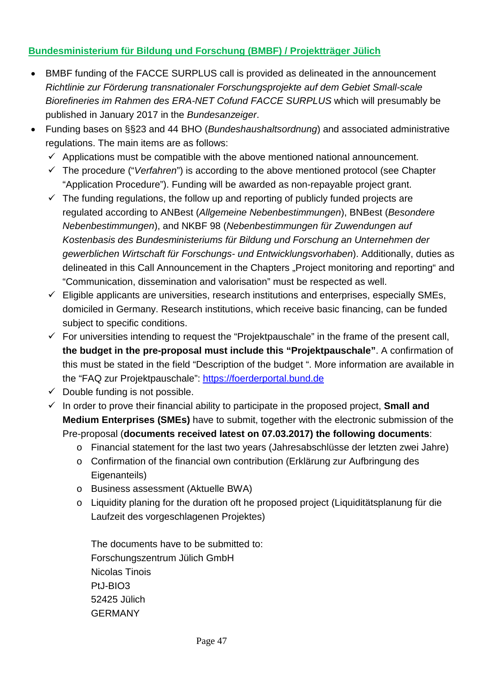#### **Bundesministerium für Bildung und Forschung (BMBF) / Projektträger Jülich**

- BMBF funding of the FACCE SURPLUS call is provided as delineated in the announcement *Richtlinie zur Förderung transnationaler Forschungsprojekte auf dem Gebiet Small-scale Biorefineries im Rahmen des ERA-NET Cofund FACCE SURPLUS* which will presumably be published in January 2017 in the *Bundesanzeiger*.
- Funding bases on §§23 and 44 BHO (*Bundeshaushaltsordnung*) and associated administrative regulations. The main items are as follows:
	- $\checkmark$  Applications must be compatible with the above mentioned national announcement.
	- The procedure ("*Verfahren*") is according to the above mentioned protocol (see Chapter "Application Procedure"). Funding will be awarded as non-repayable project grant.
	- $\checkmark$  The funding regulations, the follow up and reporting of publicly funded projects are regulated according to ANBest (*Allgemeine Nebenbestimmungen*), BNBest (*Besondere Nebenbestimmungen*), and NKBF 98 (*Nebenbestimmungen für Zuwendungen auf Kostenbasis des Bundesministeriums für Bildung und Forschung an Unternehmen der gewerblichen Wirtschaft für Forschungs- und Entwicklungsvorhaben*). Additionally, duties as delineated in this Call Announcement in the Chapters "Project monitoring and reporting" and "Communication, dissemination and valorisation" must be respected as well.
	- $\checkmark$  Eligible applicants are universities, research institutions and enterprises, especially SMEs, domiciled in Germany. Research institutions, which receive basic financing, can be funded subject to specific conditions.
	- $\checkmark$  For universities intending to request the "Projektpauschale" in the frame of the present call, **the budget in the pre-proposal must include this "Projektpauschale"**. A confirmation of this must be stated in the field "Description of the budget ". More information are available in the "FAQ zur Projektpauschale": [https://foerderportal.bund.de](https://foerderportal.bund.de/)
	- $\checkmark$  Double funding is not possible.
	- In order to prove their financial ability to participate in the proposed project, **Small and Medium Enterprises (SMEs)** have to submit, together with the electronic submission of the Pre-proposal (**documents received latest on 07.03.2017) the following documents**:
		- o Financial statement for the last two years (Jahresabschlüsse der letzten zwei Jahre)
		- o Confirmation of the financial own contribution (Erklärung zur Aufbringung des Eigenanteils)
		- o Business assessment (Aktuelle BWA)
		- o Liquidity planing for the duration oft he proposed project (Liquiditätsplanung für die Laufzeit des vorgeschlagenen Projektes)

The documents have to be submitted to: Forschungszentrum Jülich GmbH Nicolas Tinois PtJ-BIO3 52425 Jülich GERMANY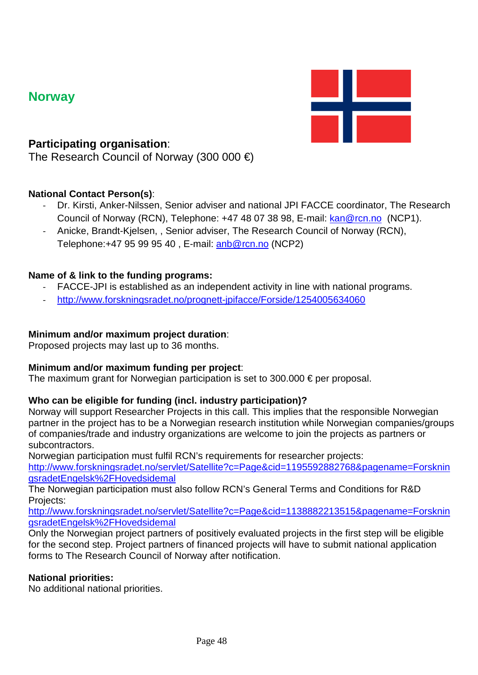### **Norway**



### **Participating organisation**:

The Research Council of Norway (300 000 €)

#### **National Contact Person(s)**:

- Dr. Kirsti, Anker-Nilssen, Senior adviser and national JPI FACCE coordinator, The Research Council of Norway (RCN), Telephone: +47 48 07 38 98, E-mail: [kan@rcn.no](mailto:kan@rcn.no) (NCP1).
- Anicke, Brandt-Kjelsen, , Senior adviser, The Research Council of Norway (RCN), Telephone:+47 95 99 95 40 , E-mail: [anb@rcn.no](mailto:anb@rcn.no) (NCP2)

#### **Name of & link to the funding programs:**

- FACCE-JPI is established as an independent activity in line with national programs.
- <http://www.forskningsradet.no/prognett-jpifacce/Forside/1254005634060>

#### **Minimum and/or maximum project duration**:

Proposed projects may last up to 36 months.

#### **Minimum and/or maximum funding per project**:

The maximum grant for Norwegian participation is set to 300.000  $\epsilon$  per proposal.

#### **Who can be eligible for funding (incl. industry participation)?**

Norway will support Researcher Projects in this call. This implies that the responsible Norwegian partner in the project has to be a Norwegian research institution while Norwegian companies/groups of companies/trade and industry organizations are welcome to join the projects as partners or subcontractors.

Norwegian participation must fulfil RCN's requirements for researcher projects:

[http://www.forskningsradet.no/servlet/Satellite?c=Page&cid=1195592882768&pagename=Forsknin](http://www.forskningsradet.no/servlet/Satellite?c=Page&cid=1195592882768&pagename=ForskningsradetEngelsk%2FHovedsidemal) [gsradetEngelsk%2FHovedsidemal](http://www.forskningsradet.no/servlet/Satellite?c=Page&cid=1195592882768&pagename=ForskningsradetEngelsk%2FHovedsidemal)

The Norwegian participation must also follow RCN's General Terms and Conditions for R&D Projects:

[http://www.forskningsradet.no/servlet/Satellite?c=Page&cid=1138882213515&pagename=Forsknin](http://www.forskningsradet.no/servlet/Satellite?c=Page&cid=1138882213515&pagename=ForskningsradetEngelsk%2FHovedsidemal) [gsradetEngelsk%2FHovedsidemal](http://www.forskningsradet.no/servlet/Satellite?c=Page&cid=1138882213515&pagename=ForskningsradetEngelsk%2FHovedsidemal)

Only the Norwegian project partners of positively evaluated projects in the first step will be eligible for the second step. Project partners of financed projects will have to submit national application forms to The Research Council of Norway after notification.

#### **National priorities:**

No additional national priorities.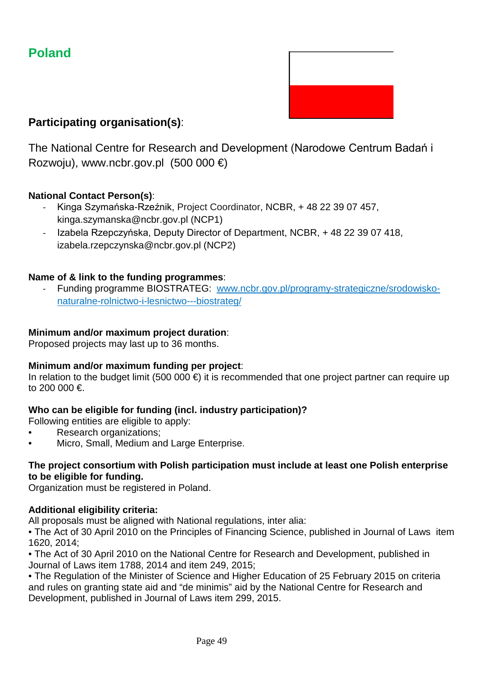# **Poland**



### **Participating organisation(s)**:

The National Centre for Research and Development (Narodowe Centrum Badań i Rozwoju), www.ncbr.gov.pl  $(500 000 \in)$ 

#### **National Contact Person(s)**:

- Kinga Szymańska-Rzeźnik, Project Coordinator, NCBR, + 48 22 39 07 457, kinga.szymanska@ncbr.gov.pl (NCP1)
- Izabela Rzepczyńska, Deputy Director of Department, NCBR, + 48 22 39 07 418, izabela.rzepczynska@ncbr.gov.pl (NCP2)

#### **Name of & link to the funding programmes**:

- Funding programme BIOSTRATEG: www.ncbr.gov.pl/programy-strategiczne/srodowiskonaturalne-rolnictwo-i-lesnictwo---biostrateg/

#### **Minimum and/or maximum project duration**:

Proposed projects may last up to 36 months.

#### **Minimum and/or maximum funding per project**:

In relation to the budget limit (500 000  $\epsilon$ ) it is recommended that one project partner can require up to 200 000 €.

#### **Who can be eligible for funding (incl. industry participation)?**

- Following entities are eligible to apply:
- Research organizations;
- Micro, Small, Medium and Large Enterprise.

#### **The project consortium with Polish participation must include at least one Polish enterprise to be eligible for funding.**

Organization must be registered in Poland.

#### **Additional eligibility criteria:**

All proposals must be aligned with National regulations, inter alia:

• The Act of 30 April 2010 on the Principles of Financing Science, published in Journal of Laws item 1620, 2014;

• The Act of 30 April 2010 on the National Centre for Research and Development, published in Journal of Laws item 1788, 2014 and item 249, 2015;

• The Regulation of the Minister of Science and Higher Education of 25 February 2015 on criteria and rules on granting state aid and "de minimis" aid by the National Centre for Research and Development, published in Journal of Laws item 299, 2015.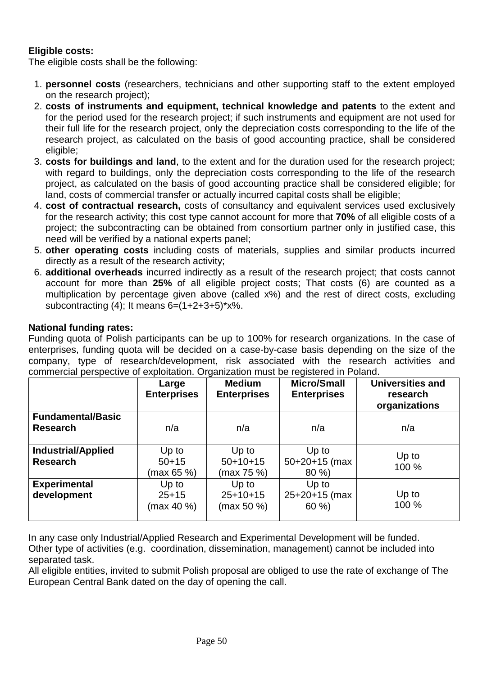#### **Eligible costs:**

The eligible costs shall be the following:

- 1. **personnel costs** (researchers, technicians and other supporting staff to the extent employed on the research project);
- 2. **costs of instruments and equipment, technical knowledge and patents** to the extent and for the period used for the research project; if such instruments and equipment are not used for their full life for the research project, only the depreciation costs corresponding to the life of the research project, as calculated on the basis of good accounting practice, shall be considered eligible:
- 3. **costs for buildings and land**, to the extent and for the duration used for the research project; with regard to buildings, only the depreciation costs corresponding to the life of the research project, as calculated on the basis of good accounting practice shall be considered eligible; for land, costs of commercial transfer or actually incurred capital costs shall be eligible;
- 4. **cost of contractual research,** costs of consultancy and equivalent services used exclusively for the research activity; this cost type cannot account for more that **70%** of all eligible costs of a project; the subcontracting can be obtained from consortium partner only in justified case, this need will be verified by a national experts panel;
- 5. **other operating costs** including costs of materials, supplies and similar products incurred directly as a result of the research activity;
- 6. **additional overheads** incurred indirectly as a result of the research project; that costs cannot account for more than **25%** of all eligible project costs; That costs (6) are counted as a multiplication by percentage given above (called x%) and the rest of direct costs, excluding subcontracting  $(4)$ ; It means  $6=(1+2+3+5)*x%$ .

#### **National funding rates:**

Funding quota of Polish participants can be up to 100% for research organizations. In the case of enterprises, funding quota will be decided on a case-by-case basis depending on the size of the company, type of research/development, risk associated with the research activities and commercial perspective of exploitation. Organization must be registered in Poland.

|                                              | Large<br><b>Enterprises</b>      | <b>Medium</b><br><b>Enterprises</b> | <b>Micro/Small</b><br><b>Enterprises</b> | <b>Universities and</b><br>research<br>organizations |
|----------------------------------------------|----------------------------------|-------------------------------------|------------------------------------------|------------------------------------------------------|
| <b>Fundamental/Basic</b><br><b>Research</b>  | n/a                              | n/a                                 | n/a                                      | n/a                                                  |
| <b>Industrial/Applied</b><br><b>Research</b> | Up to<br>$50+15$<br>(max 65 %)   | Up to<br>$50+10+15$<br>(max 75 %)   | Up to<br>$50+20+15$ (max<br>$80\%$       | Up to<br>100 %                                       |
| <b>Experimental</b><br>development           | Up to<br>$25 + 15$<br>(max 40 %) | Up to<br>$25+10+15$<br>(max 50 %)   | Up to<br>25+20+15 (max<br>$60 \%$        | Up to<br>100 %                                       |

In any case only Industrial/Applied Research and Experimental Development will be funded. Other type of activities (e.g. coordination, dissemination, management) cannot be included into separated task.

All eligible entities, invited to submit Polish proposal are obliged to use the rate of exchange of The European Central Bank dated on the day of opening the call.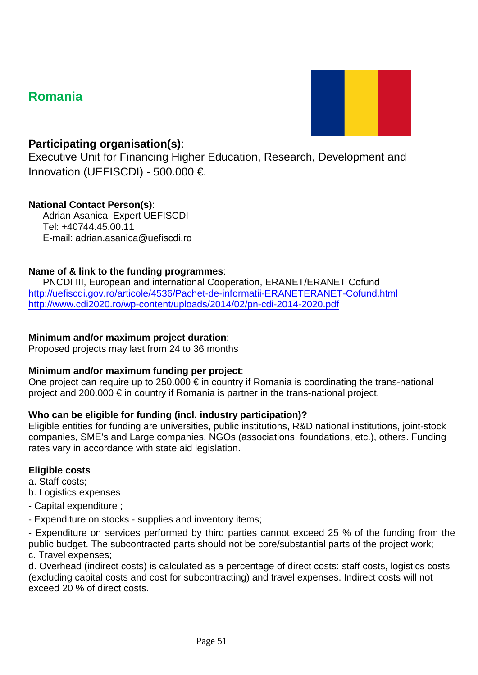# **Romania**



### **Participating organisation(s)**:

Executive Unit for Financing Higher Education, Research, Development and Innovation (UEFISCDI) - 500.000 €.

#### **National Contact Person(s)**:

Adrian Asanica, Expert UEFISCDI Tel: +40744.45.00.11 E‐mail: adrian.asanica@uefiscdi.ro

#### **Name of & link to the funding programmes**:

PNCDI III, European and international Cooperation, ERANET/ERANET Cofund <http://uefiscdi.gov.ro/articole/4536/Pachet-de-informatii-ERANETERANET-Cofund.html> <http://www.cdi2020.ro/wp-content/uploads/2014/02/pn-cdi-2014-2020.pdf>

#### **Minimum and/or maximum project duration**:

Proposed projects may last from 24 to 36 months

#### **Minimum and/or maximum funding per project**:

One project can require up to 250.000  $\epsilon$  in country if Romania is coordinating the trans-national project and 200.000 € in country if Romania is partner in the trans-national project.

#### **Who can be eligible for funding (incl. industry participation)?**

Eligible entities for funding are universities, public institutions, R&D national institutions, joint-stock companies, SME's and Large companies, NGOs (associations, foundations, etc.), others. Funding rates vary in accordance with state aid legislation.

#### **Eligible costs**

a. Staff costs;

b. Logistics expenses

- Capital expenditure ;
- Expenditure on stocks supplies and inventory items;

- Expenditure on services performed by third parties cannot exceed 25 % of the funding from the public budget. The subcontracted parts should not be core/substantial parts of the project work; c. Travel expenses;

d. Overhead (indirect costs) is calculated as a percentage of direct costs: staff costs, logistics costs (excluding capital costs and cost for subcontracting) and travel expenses. Indirect costs will not exceed 20 % of direct costs.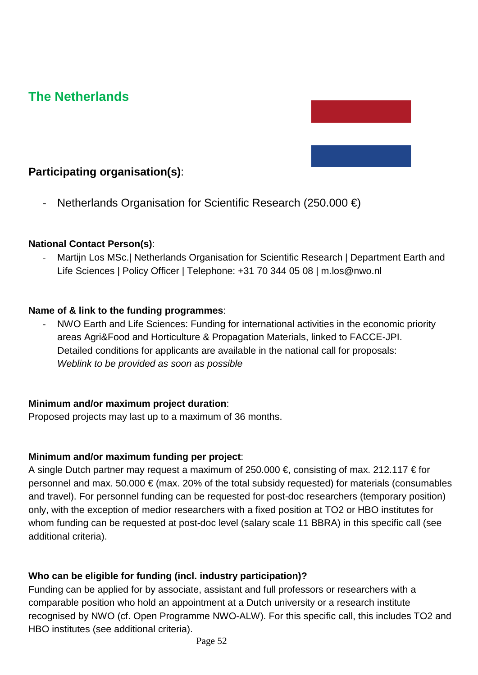# **The Netherlands**

### **Participating organisation(s)**:

Netherlands Organisation for Scientific Research (250.000  $\in$ )

#### **National Contact Person(s)**:

Martijn Los MSc. | Netherlands Organisation for Scientific Research | Department Earth and Life Sciences | Policy Officer | Telephone: +31 70 344 05 08 | m.los@nwo.nl

#### **Name of & link to the funding programmes**:

- NWO Earth and Life Sciences: Funding for international activities in the economic priority areas Agri&Food and Horticulture & Propagation Materials, linked to FACCE-JPI. Detailed conditions for applicants are available in the national call for proposals: *Weblink to be provided as soon as possible*

#### **Minimum and/or maximum project duration**:

Proposed projects may last up to a maximum of 36 months.

#### **Minimum and/or maximum funding per project**:

A single Dutch partner may request a maximum of 250.000  $\epsilon$ , consisting of max. 212.117  $\epsilon$  for personnel and max. 50.000  $\epsilon$  (max. 20% of the total subsidy requested) for materials (consumables and travel). For personnel funding can be requested for post-doc researchers (temporary position) only, with the exception of medior researchers with a fixed position at TO2 or HBO institutes for whom funding can be requested at post-doc level (salary scale 11 BBRA) in this specific call (see additional criteria).

#### **Who can be eligible for funding (incl. industry participation)?**

Funding can be applied for by associate, assistant and full professors or researchers with a comparable position who hold an appointment at a Dutch university or a research institute recognised by NWO (cf. Open Programme NWO-ALW). For this specific call, this includes TO2 and HBO institutes (see additional criteria).